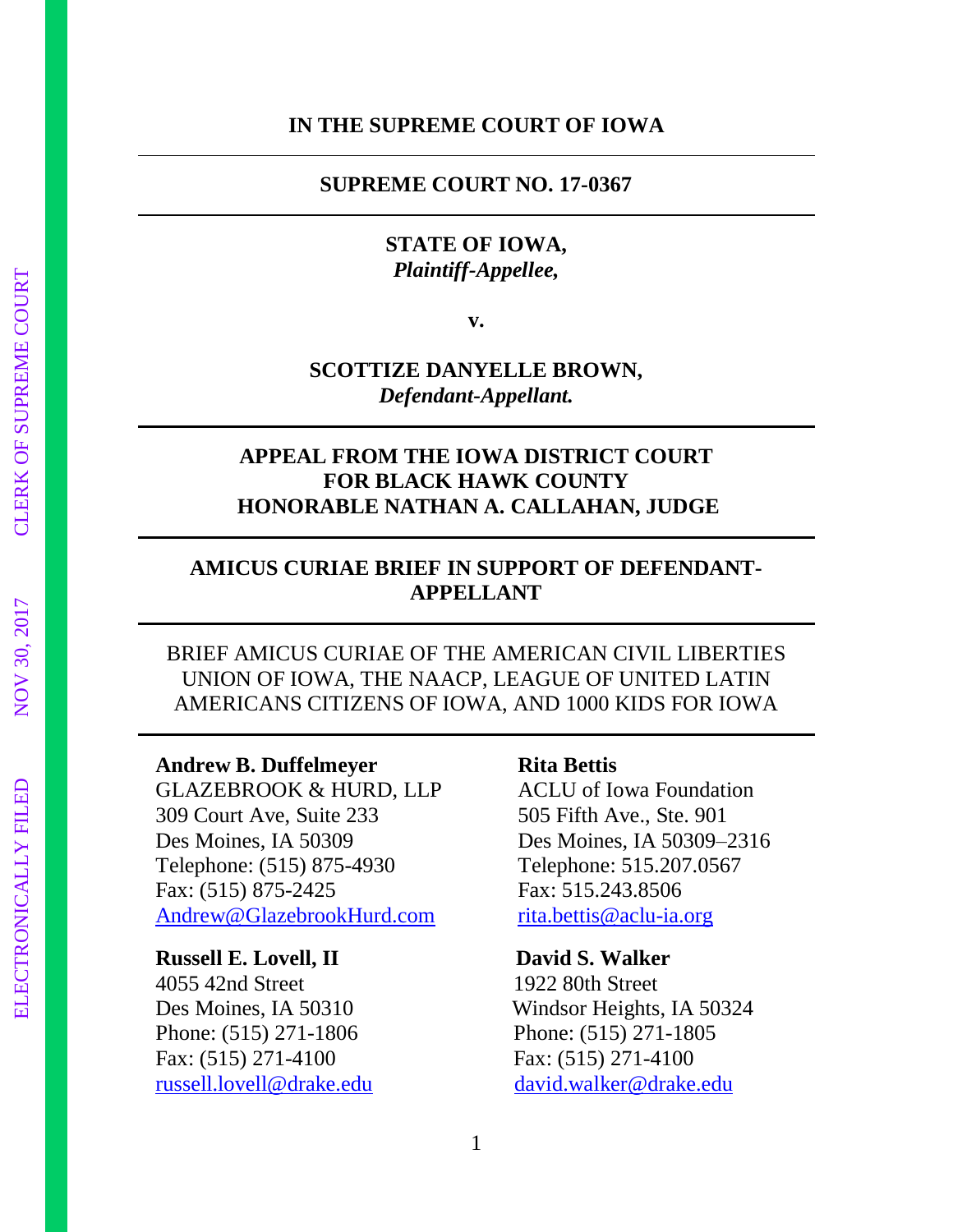#### **IN THE SUPREME COURT OF IOWA**

#### **SUPREME COURT NO. 17-0367**

## **STATE OF IOWA,** *Plaintiff-Appellee,*

**v.**

## **SCOTTIZE DANYELLE BROWN,** *Defendant-Appellant.*

## **APPEAL FROM THE IOWA DISTRICT COURT FOR BLACK HAWK COUNTY HONORABLE NATHAN A. CALLAHAN, JUDGE**

## **AMICUS CURIAE BRIEF IN SUPPORT OF DEFENDANT-APPELLANT**

BRIEF AMICUS CURIAE OF THE AMERICAN CIVIL LIBERTIES UNION OF IOWA, THE NAACP, LEAGUE OF UNITED LATIN AMERICANS CITIZENS OF IOWA, AND 1000 KIDS FOR IOWA

#### **Andrew B. Duffelmeyer**

GLAZEBROOK & HURD, LLP 309 Court Ave, Suite 233 Des Moines, IA 50309 Telephone: (515) 875-4930 Fax: (515) 875-2425 [Andrew@GlazebrookHurd.com](mailto:Andrew@GlazebrookHurd.com)

#### **Russell E. Lovell, II David S. Walker**

4055 42nd Street 1922 80th Street Phone: (515) 271-1806 Phone: (515) 271-1805 Fax: (515) 271-4100 Fax: (515) 271-4100 [russell.lovell@drake.edu](mailto:russell.lovell@drake.edu) [david.walker@drake.edu](mailto:david.walker@drake.edu)

#### **Rita Bettis**

ACLU of Iowa Foundation 505 Fifth Ave., Ste. 901 Des Moines, IA 50309–2316 Telephone: 515.207.0567 Fax: 515.243.8506 [rita.bettis@aclu-ia.org](mailto:rita.bettis@aclu-ia.org)

Des Moines, IA 50310 Windsor Heights, IA 50324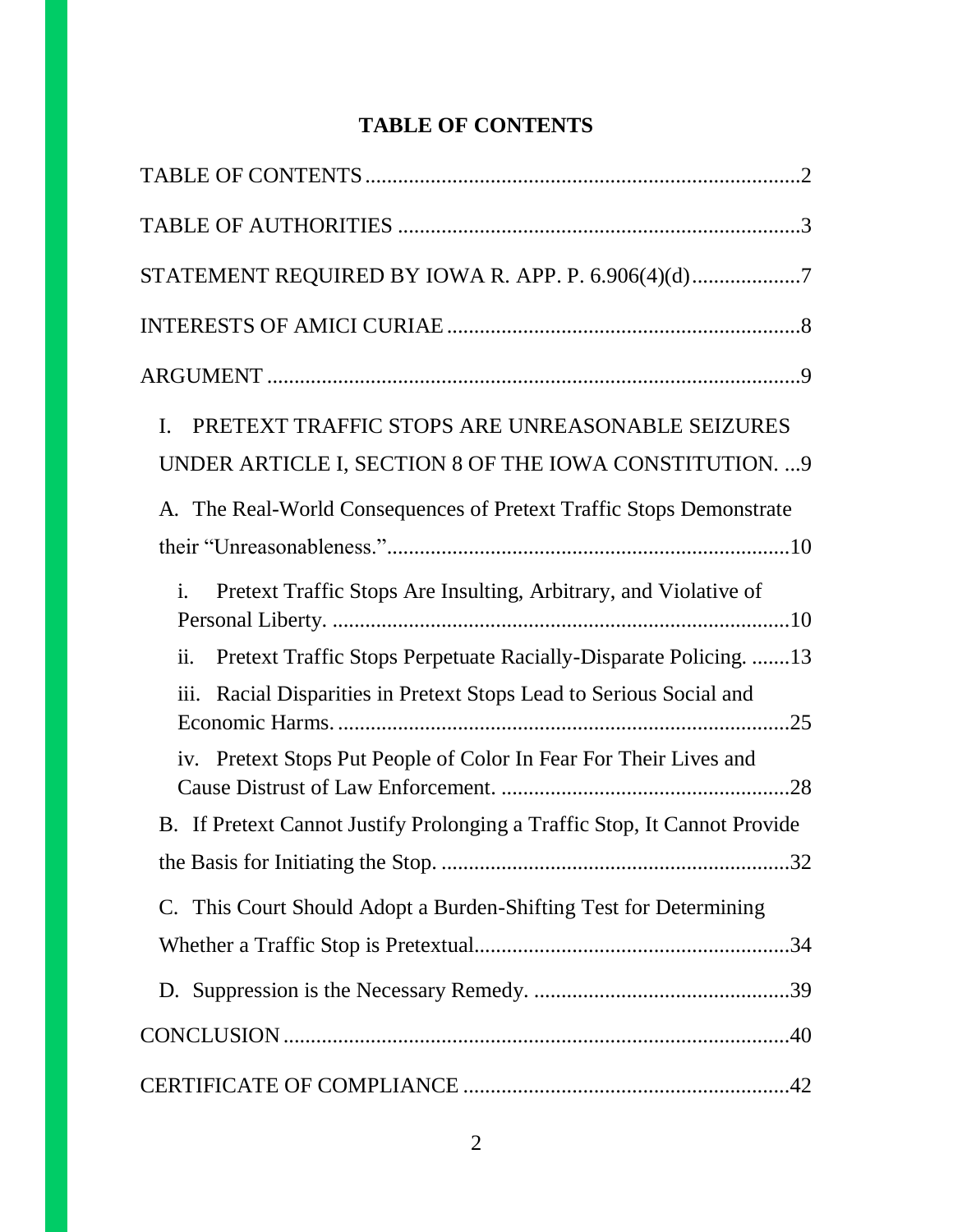# **TABLE OF CONTENTS**

| STATEMENT REQUIRED BY IOWA R. APP. P. 6.906(4)(d)7                                        |
|-------------------------------------------------------------------------------------------|
|                                                                                           |
|                                                                                           |
| PRETEXT TRAFFIC STOPS ARE UNREASONABLE SEIZURES<br>I.                                     |
| UNDER ARTICLE I, SECTION 8 OF THE IOWA CONSTITUTION.  9                                   |
| A. The Real-World Consequences of Pretext Traffic Stops Demonstrate                       |
|                                                                                           |
| Pretext Traffic Stops Are Insulting, Arbitrary, and Violative of<br>$\mathbf{i}$ .        |
| Pretext Traffic Stops Perpetuate Racially-Disparate Policing. 13<br>$\ddot{\mathbf{u}}$ . |
| Racial Disparities in Pretext Stops Lead to Serious Social and<br>$\overline{111}$ .      |
| iv. Pretext Stops Put People of Color In Fear For Their Lives and                         |
| B. If Pretext Cannot Justify Prolonging a Traffic Stop, It Cannot Provide                 |
|                                                                                           |
| C. This Court Should Adopt a Burden-Shifting Test for Determining                         |
|                                                                                           |
|                                                                                           |
|                                                                                           |
|                                                                                           |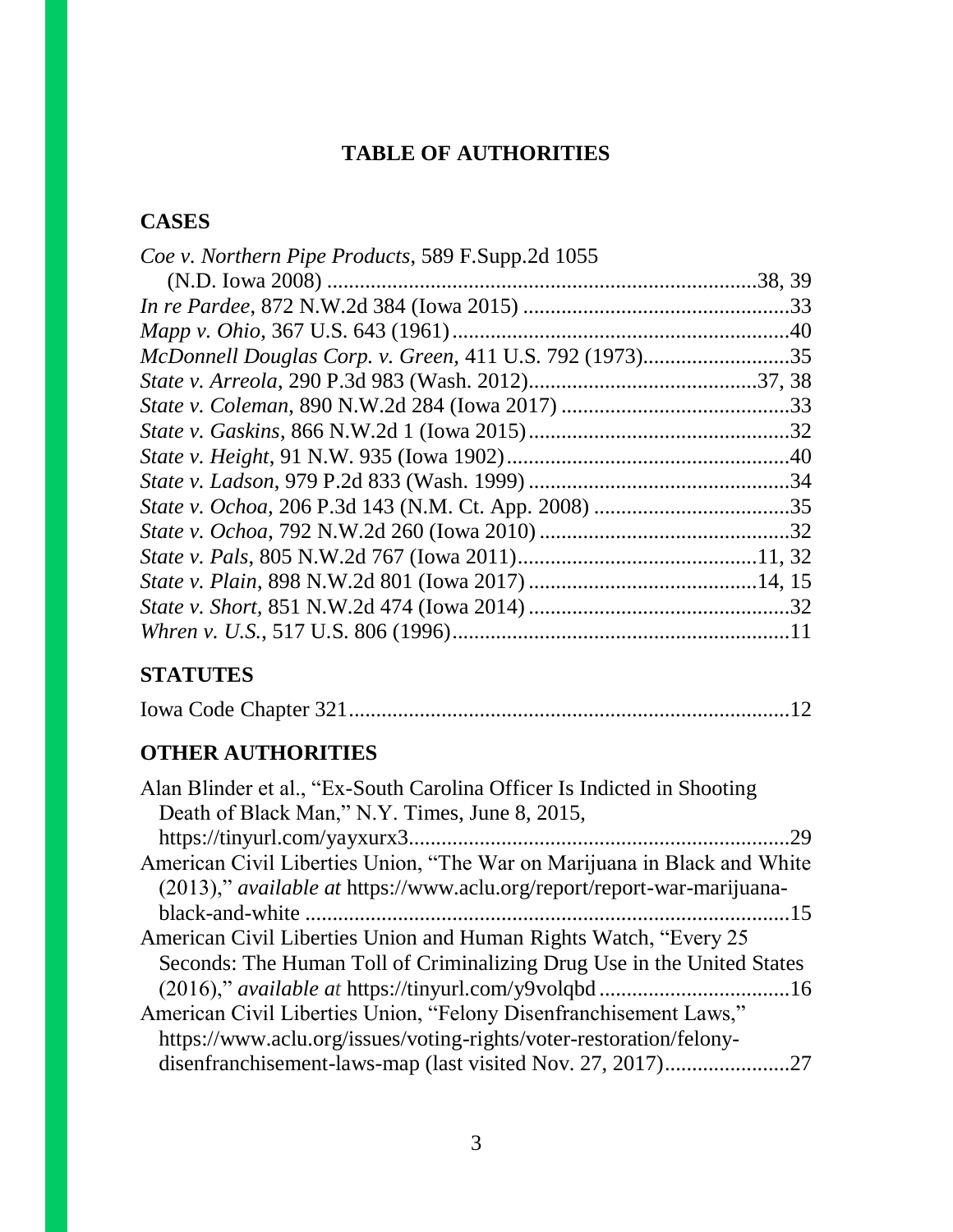# **TABLE OF AUTHORITIES**

# **CASES**

| Coe v. Northern Pipe Products, 589 F.Supp.2d 1055       |  |
|---------------------------------------------------------|--|
|                                                         |  |
|                                                         |  |
|                                                         |  |
| McDonnell Douglas Corp. v. Green, 411 U.S. 792 (1973)35 |  |
|                                                         |  |
|                                                         |  |
|                                                         |  |
|                                                         |  |
|                                                         |  |
|                                                         |  |
|                                                         |  |
|                                                         |  |
|                                                         |  |
|                                                         |  |
|                                                         |  |
|                                                         |  |

# **STATUTES**

|--|--|

# **OTHER AUTHORITIES**

| Alan Blinder et al., "Ex-South Carolina Officer Is Indicted in Shooting        |
|--------------------------------------------------------------------------------|
| Death of Black Man," N.Y. Times, June 8, 2015,                                 |
|                                                                                |
| American Civil Liberties Union, "The War on Marijuana in Black and White       |
| (2013)," <i>available at https://www.aclu.org/report/report-war-marijuana-</i> |
|                                                                                |
| American Civil Liberties Union and Human Rights Watch, "Every 25               |
| Seconds: The Human Toll of Criminalizing Drug Use in the United States         |
|                                                                                |
| American Civil Liberties Union, "Felony Disenfranchisement Laws,"              |
| https://www.aclu.org/issues/voting-rights/voter-restoration/felony-            |
|                                                                                |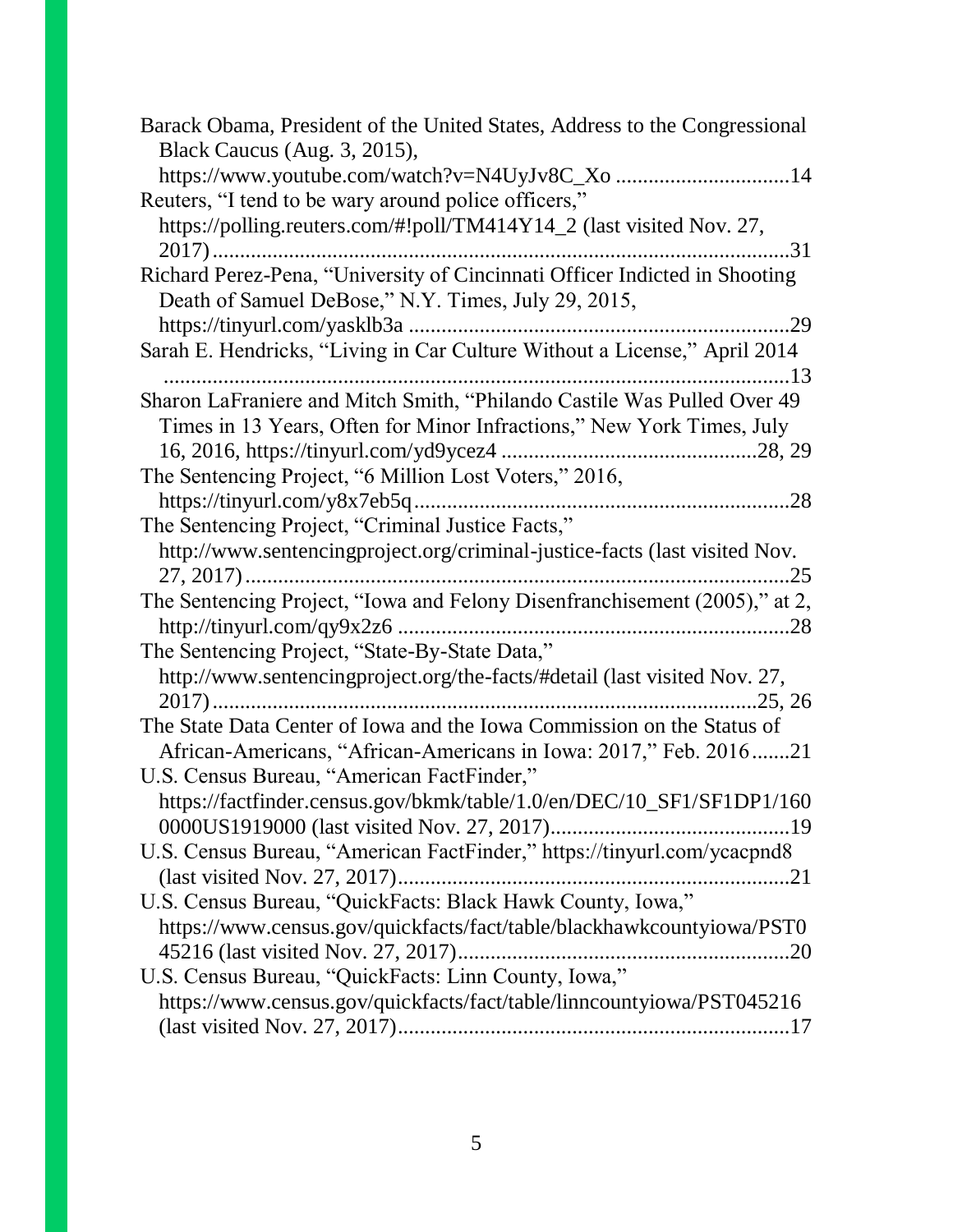| Barack Obama, President of the United States, Address to the Congressional<br>Black Caucus (Aug. 3, 2015), |
|------------------------------------------------------------------------------------------------------------|
| https://www.youtube.com/watch?v=N4UyJv8C_Xo 14                                                             |
| Reuters, "I tend to be wary around police officers,"                                                       |
|                                                                                                            |
| https://polling.reuters.com/#!poll/TM414Y14_2 (last visited Nov. 27,                                       |
| Richard Perez-Pena, "University of Cincinnati Officer Indicted in Shooting                                 |
| Death of Samuel DeBose," N.Y. Times, July 29, 2015,                                                        |
| .29                                                                                                        |
|                                                                                                            |
| Sarah E. Hendricks, "Living in Car Culture Without a License," April 2014                                  |
|                                                                                                            |
| Sharon LaFraniere and Mitch Smith, "Philando Castile Was Pulled Over 49                                    |
| Times in 13 Years, Often for Minor Infractions," New York Times, July                                      |
|                                                                                                            |
| The Sentencing Project, "6 Million Lost Voters," 2016,                                                     |
|                                                                                                            |
| The Sentencing Project, "Criminal Justice Facts,"                                                          |
| http://www.sentencingproject.org/criminal-justice-facts (last visited Nov.                                 |
| The Sentencing Project, "Iowa and Felony Disenfranchisement (2005)," at 2,                                 |
|                                                                                                            |
| The Sentencing Project, "State-By-State Data,"                                                             |
| http://www.sentencingproject.org/the-facts/#detail (last visited Nov. 27,                                  |
|                                                                                                            |
| The State Data Center of Iowa and the Iowa Commission on the Status of                                     |
| African-Americans, "African-Americans in Iowa: 2017," Feb. 201621                                          |
| U.S. Census Bureau, "American FactFinder,"                                                                 |
| https://factfinder.census.gov/bkmk/table/1.0/en/DEC/10_SF1/SF1DP1/160                                      |
|                                                                                                            |
| U.S. Census Bureau, "American FactFinder," https://tinyurl.com/ycacpnd8                                    |
|                                                                                                            |
| U.S. Census Bureau, "QuickFacts: Black Hawk County, Iowa,"                                                 |
| https://www.census.gov/quickfacts/fact/table/blackhawkcountyiowa/PST0                                      |
|                                                                                                            |
| U.S. Census Bureau, "QuickFacts: Linn County, Iowa,"                                                       |
| https://www.census.gov/quickfacts/fact/table/linncountyiowa/PST045216                                      |
|                                                                                                            |
|                                                                                                            |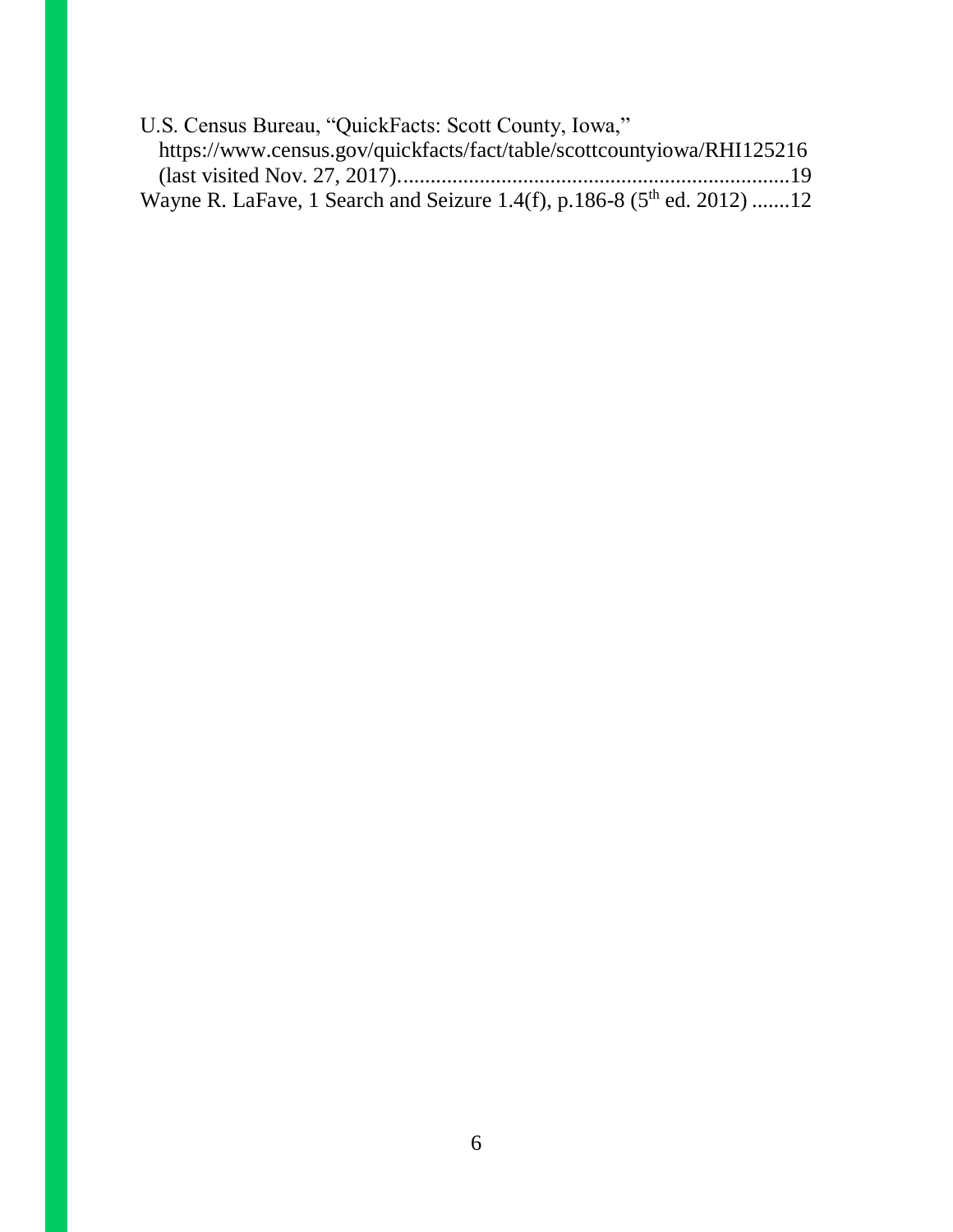| U.S. Census Bureau, "QuickFacts: Scott County, Iowa,"                      |  |
|----------------------------------------------------------------------------|--|
| https://www.census.gov/quickfacts/fact/table/scottcountyiowa/RHI125216     |  |
|                                                                            |  |
| Wayne R. LaFave, 1 Search and Seizure 1.4(f), p.186-8 ( $5th$ ed. 2012) 12 |  |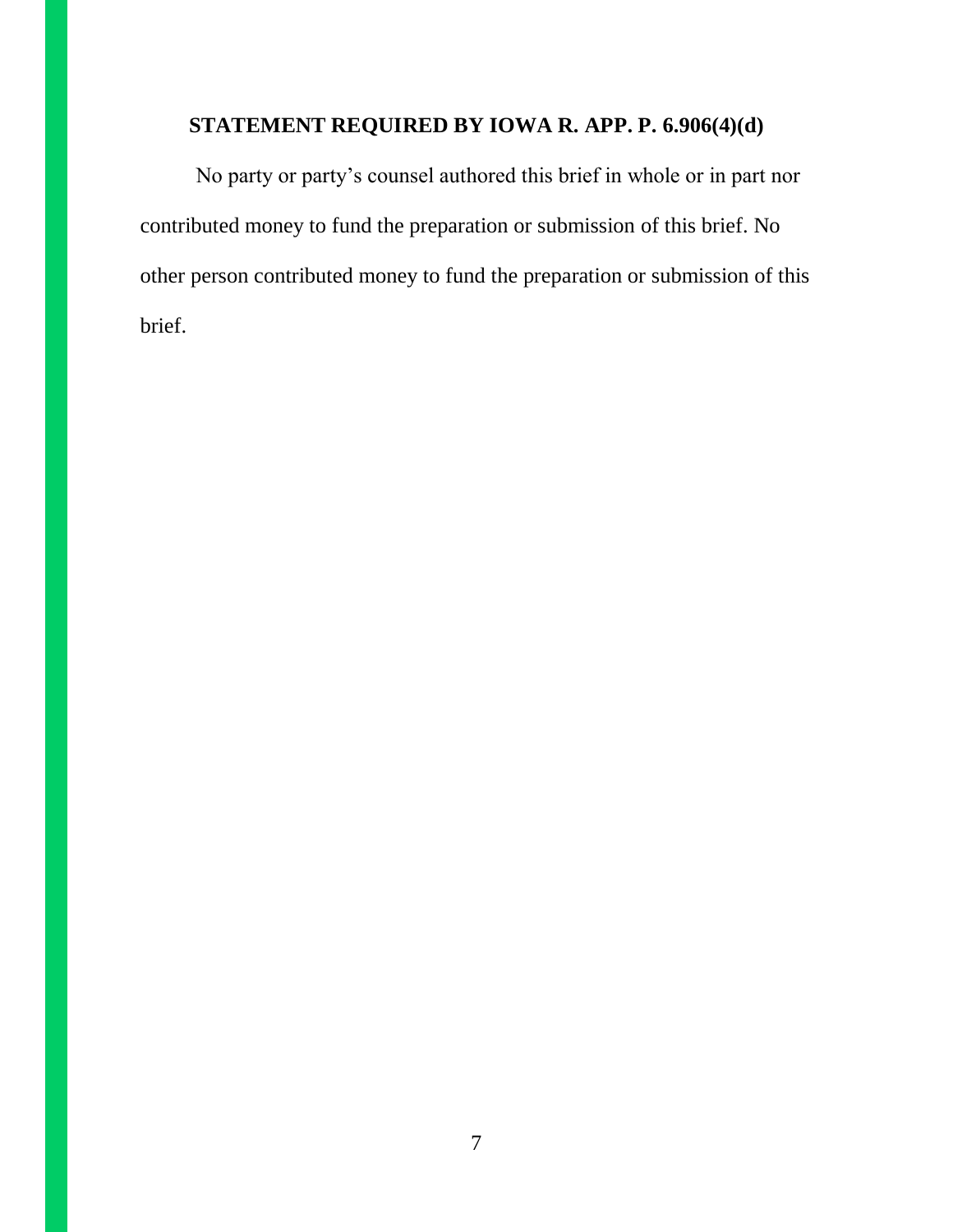## **STATEMENT REQUIRED BY IOWA R. APP. P. 6.906(4)(d)**

No party or party's counsel authored this brief in whole or in part nor contributed money to fund the preparation or submission of this brief. No other person contributed money to fund the preparation or submission of this brief.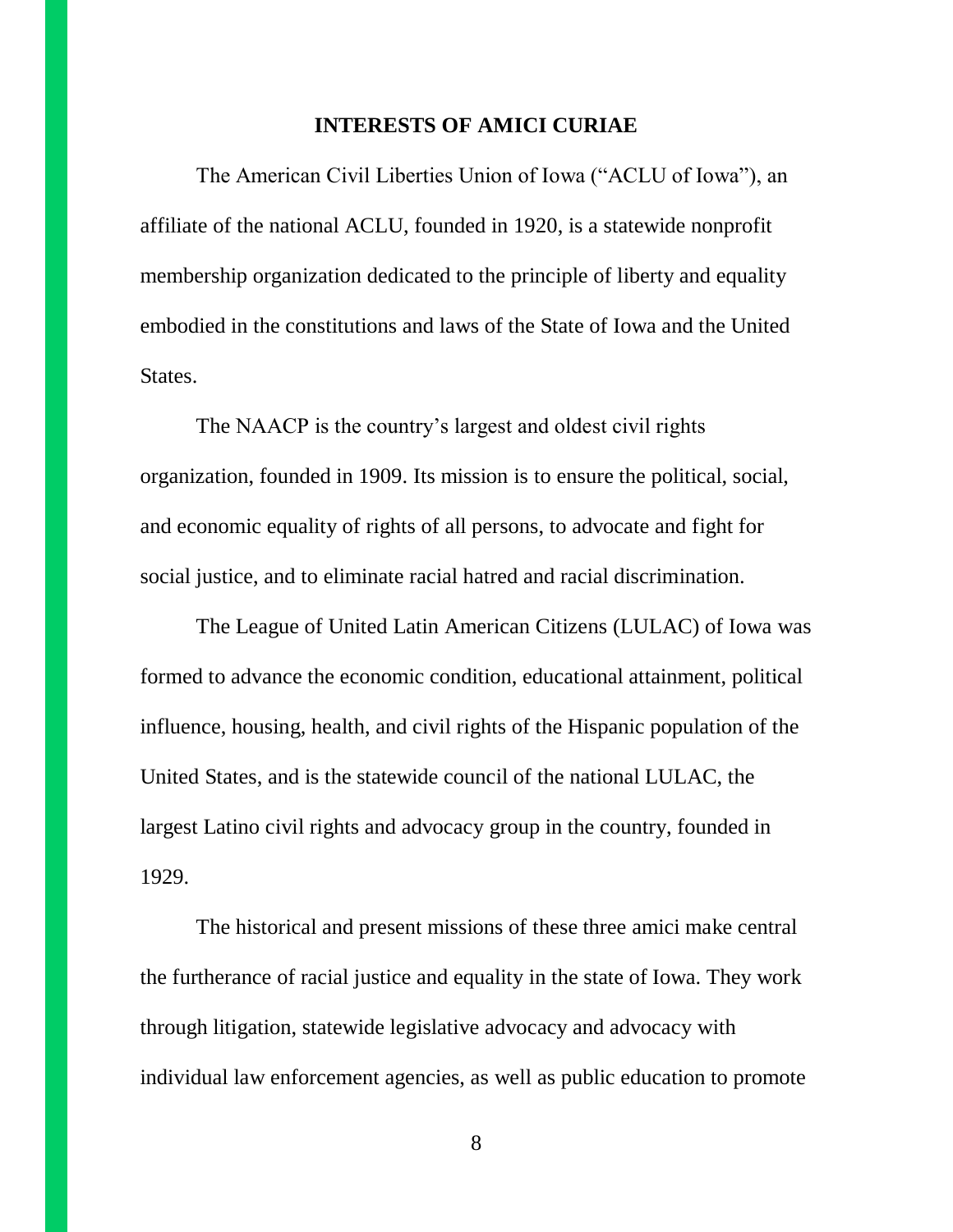#### **INTERESTS OF AMICI CURIAE**

The American Civil Liberties Union of Iowa ("ACLU of Iowa"), an affiliate of the national ACLU, founded in 1920, is a statewide nonprofit membership organization dedicated to the principle of liberty and equality embodied in the constitutions and laws of the State of Iowa and the United States.

The NAACP is the country's largest and oldest civil rights organization, founded in 1909. Its mission is to ensure the political, social, and economic equality of rights of all persons, to advocate and fight for social justice, and to eliminate racial hatred and racial discrimination.

The League of United Latin American Citizens (LULAC) of Iowa was formed to advance the economic condition, educational attainment, political influence, housing, health, and civil rights of the Hispanic population of the United States, and is the statewide council of the national LULAC, the largest Latino civil rights and advocacy group in the country, founded in 1929.

The historical and present missions of these three amici make central the furtherance of racial justice and equality in the state of Iowa. They work through litigation, statewide legislative advocacy and advocacy with individual law enforcement agencies, as well as public education to promote

8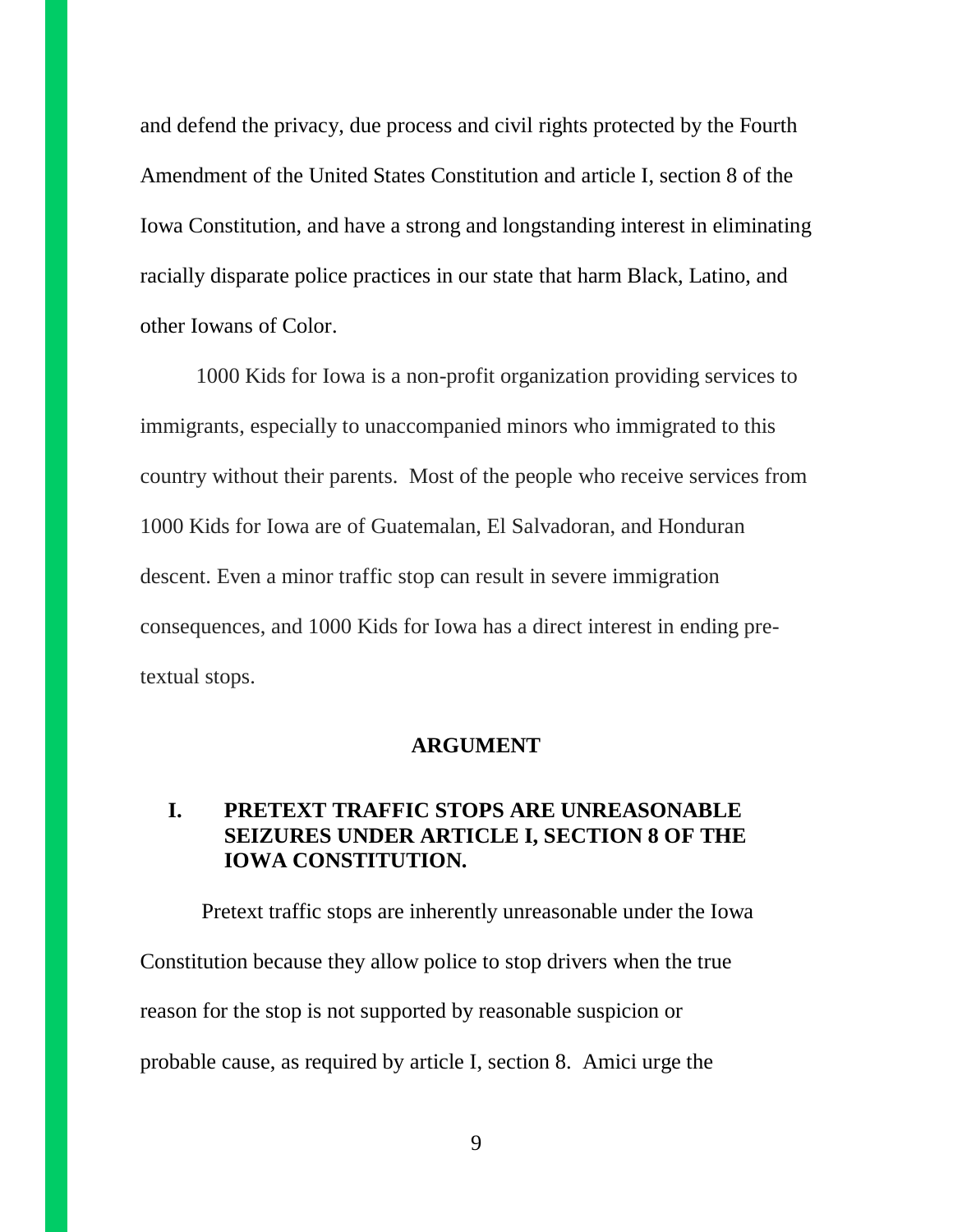and defend the privacy, due process and civil rights protected by the Fourth Amendment of the United States Constitution and article I, section 8 of the Iowa Constitution, and have a strong and longstanding interest in eliminating racially disparate police practices in our state that harm Black, Latino, and other Iowans of Color.

1000 Kids for Iowa is a non-profit organization providing services to immigrants, especially to unaccompanied minors who immigrated to this country without their parents. Most of the people who receive services from 1000 Kids for Iowa are of Guatemalan, El Salvadoran, and Honduran descent. Even a minor traffic stop can result in severe immigration consequences, and 1000 Kids for Iowa has a direct interest in ending pretextual stops.

#### **ARGUMENT**

## **I. PRETEXT TRAFFIC STOPS ARE UNREASONABLE SEIZURES UNDER ARTICLE I, SECTION 8 OF THE IOWA CONSTITUTION.**

Pretext traffic stops are inherently unreasonable under the Iowa Constitution because they allow police to stop drivers when the true reason for the stop is not supported by reasonable suspicion or probable cause, as required by article I, section 8. Amici urge the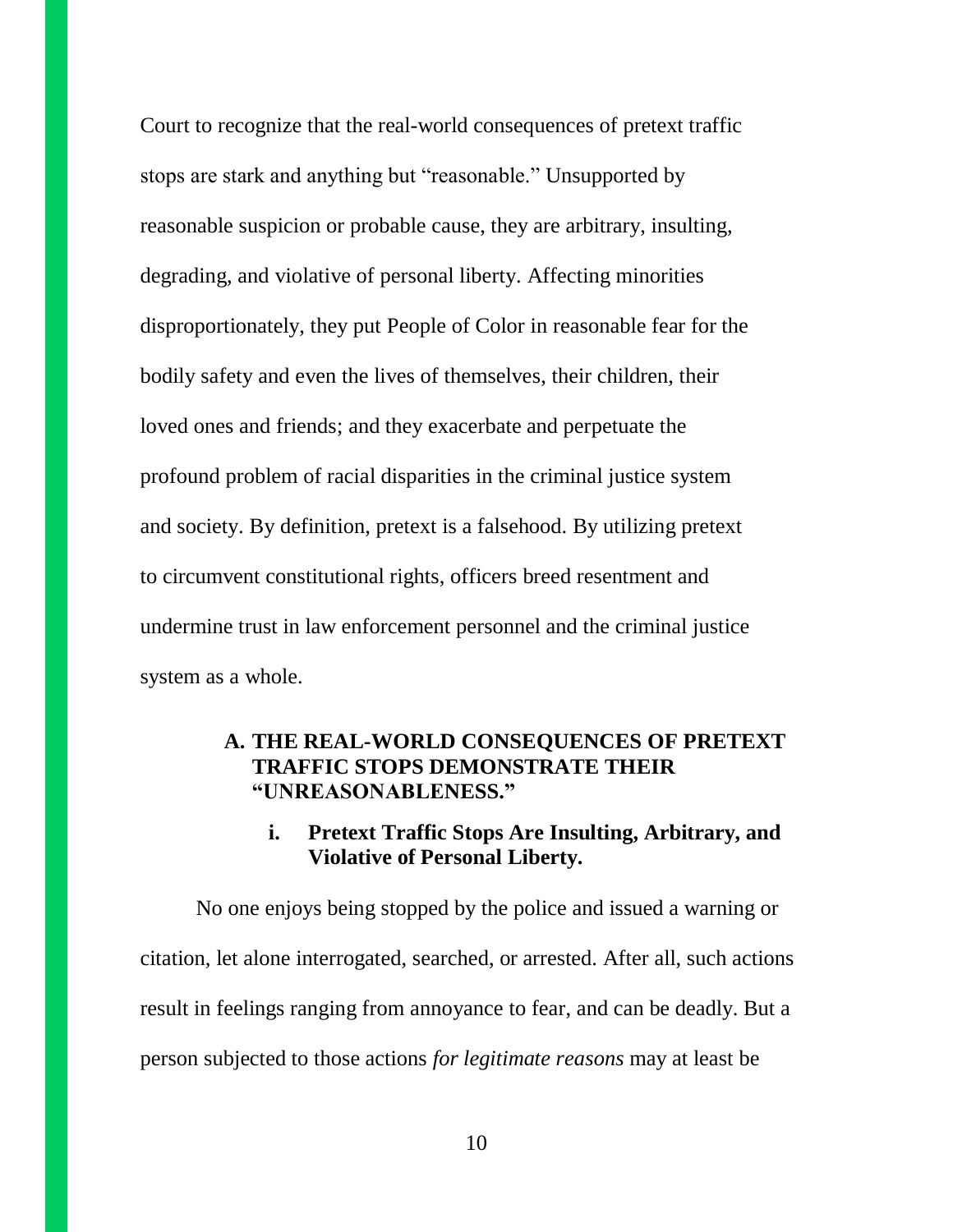Court to recognize that the real-world consequences of pretext traffic stops are stark and anything but "reasonable." Unsupported by reasonable suspicion or probable cause, they are arbitrary, insulting, degrading, and violative of personal liberty. Affecting minorities disproportionately, they put People of Color in reasonable fear for the bodily safety and even the lives of themselves, their children, their loved ones and friends; and they exacerbate and perpetuate the profound problem of racial disparities in the criminal justice system and society. By definition, pretext is a falsehood. By utilizing pretext to circumvent constitutional rights, officers breed resentment and undermine trust in law enforcement personnel and the criminal justice system as a whole.

## **A. THE REAL-WORLD CONSEQUENCES OF PRETEXT TRAFFIC STOPS DEMONSTRATE THEIR "UNREASONABLENESS."**

## **i. Pretext Traffic Stops Are Insulting, Arbitrary, and Violative of Personal Liberty.**

No one enjoys being stopped by the police and issued a warning or citation, let alone interrogated, searched, or arrested. After all, such actions result in feelings ranging from annoyance to fear, and can be deadly. But a person subjected to those actions *for legitimate reasons* may at least be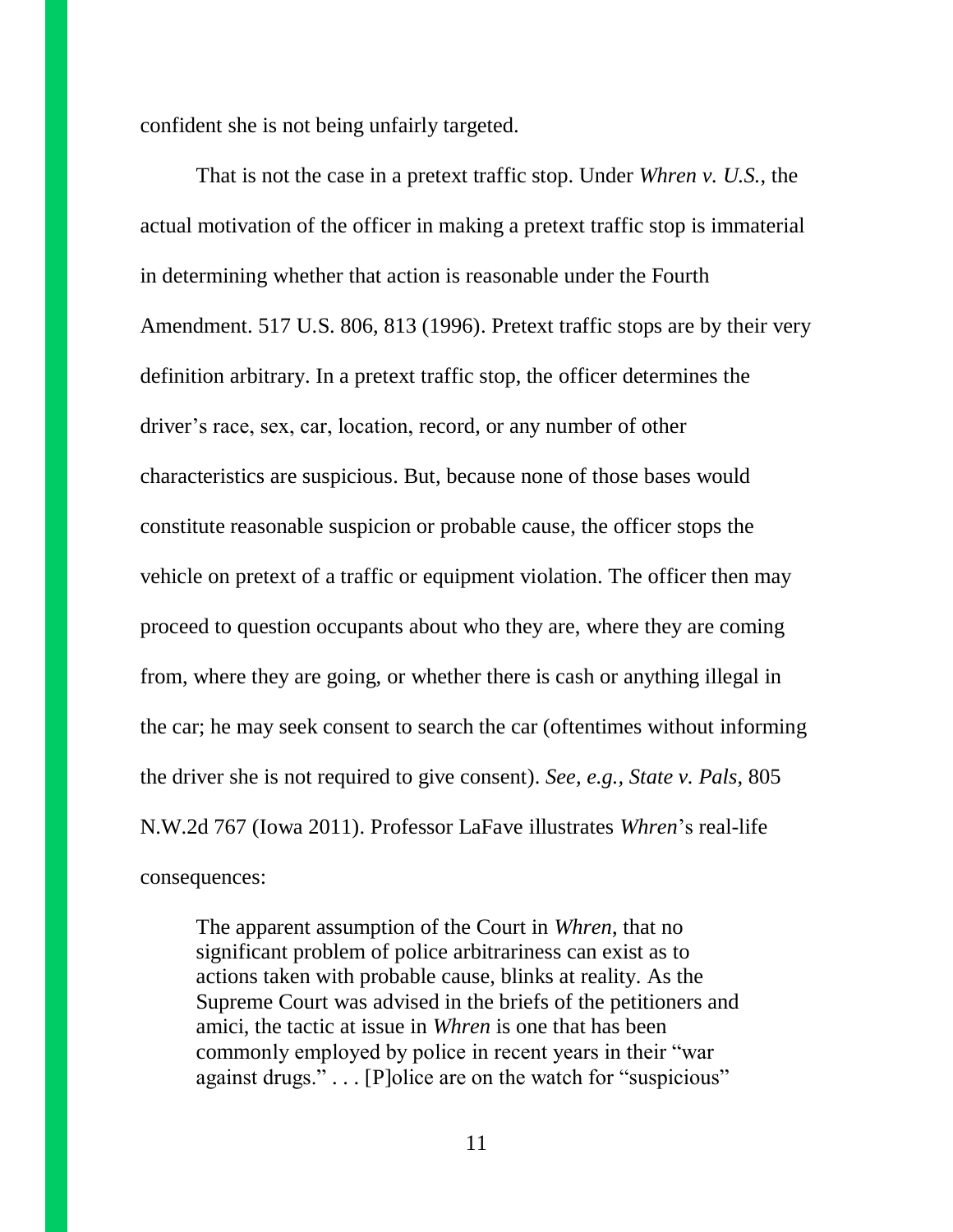confident she is not being unfairly targeted.

That is not the case in a pretext traffic stop. Under *Whren v. U.S.*, the actual motivation of the officer in making a pretext traffic stop is immaterial in determining whether that action is reasonable under the Fourth Amendment. 517 U.S. 806, 813 (1996). Pretext traffic stops are by their very definition arbitrary. In a pretext traffic stop, the officer determines the driver's race, sex, car, location, record, or any number of other characteristics are suspicious. But, because none of those bases would constitute reasonable suspicion or probable cause, the officer stops the vehicle on pretext of a traffic or equipment violation. The officer then may proceed to question occupants about who they are, where they are coming from, where they are going, or whether there is cash or anything illegal in the car; he may seek consent to search the car (oftentimes without informing the driver she is not required to give consent). *See, e.g., State v. Pals*, 805 N.W.2d 767 (Iowa 2011). Professor LaFave illustrates *Whren*'s real-life consequences:

The apparent assumption of the Court in *Whren*, that no significant problem of police arbitrariness can exist as to actions taken with probable cause, blinks at reality. As the Supreme Court was advised in the briefs of the petitioners and amici, the tactic at issue in *Whren* is one that has been commonly employed by police in recent years in their "war against drugs." . . . [P]olice are on the watch for "suspicious"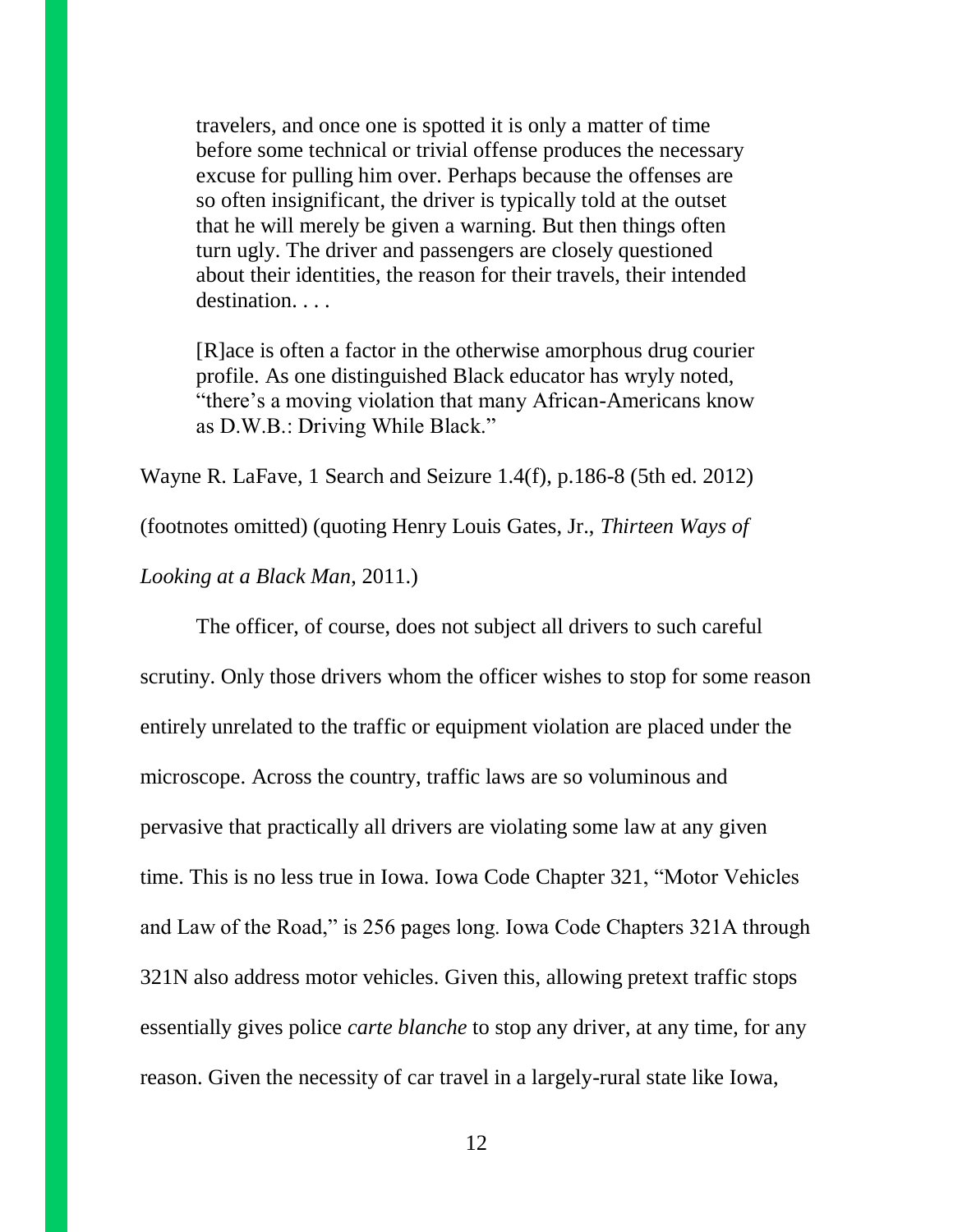travelers, and once one is spotted it is only a matter of time before some technical or trivial offense produces the necessary excuse for pulling him over. Perhaps because the offenses are so often insignificant, the driver is typically told at the outset that he will merely be given a warning. But then things often turn ugly. The driver and passengers are closely questioned about their identities, the reason for their travels, their intended destination. . . .

[R]ace is often a factor in the otherwise amorphous drug courier profile. As one distinguished Black educator has wryly noted, "there's a moving violation that many African-Americans know as D.W.B.: Driving While Black."

Wayne R. LaFave, 1 Search and Seizure 1.4(f), p.186-8 (5th ed. 2012)

(footnotes omitted) (quoting Henry Louis Gates, Jr., *Thirteen Ways of* 

*Looking at a Black Man*, 2011.)

The officer, of course, does not subject all drivers to such careful scrutiny. Only those drivers whom the officer wishes to stop for some reason entirely unrelated to the traffic or equipment violation are placed under the microscope. Across the country, traffic laws are so voluminous and pervasive that practically all drivers are violating some law at any given time. This is no less true in Iowa. Iowa Code Chapter 321, "Motor Vehicles and Law of the Road," is 256 pages long. Iowa Code Chapters 321A through 321N also address motor vehicles. Given this, allowing pretext traffic stops essentially gives police *carte blanche* to stop any driver, at any time, for any reason. Given the necessity of car travel in a largely-rural state like Iowa,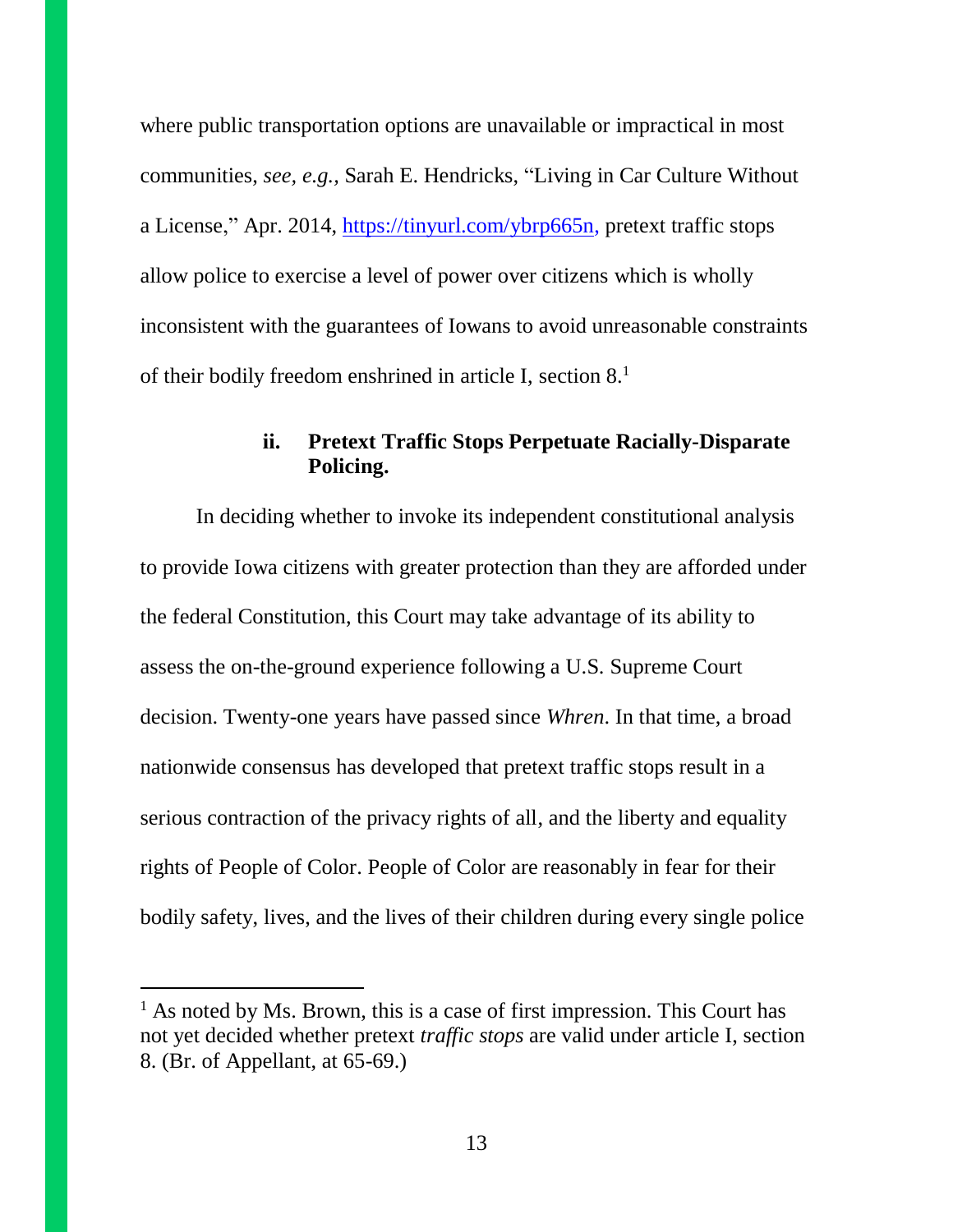where public transportation options are unavailable or impractical in most communities, *see, e.g.,* Sarah E. Hendricks, "Living in Car Culture Without a License," Apr. 2014, [https://tinyurl.com/ybrp665n,](https://tinyurl.com/ybrp665n) pretext traffic stops allow police to exercise a level of power over citizens which is wholly inconsistent with the guarantees of Iowans to avoid unreasonable constraints of their bodily freedom enshrined in article I, section 8. 1

## **ii. Pretext Traffic Stops Perpetuate Racially-Disparate Policing.**

In deciding whether to invoke its independent constitutional analysis to provide Iowa citizens with greater protection than they are afforded under the federal Constitution, this Court may take advantage of its ability to assess the on-the-ground experience following a U.S. Supreme Court decision. Twenty-one years have passed since *Whren*. In that time, a broad nationwide consensus has developed that pretext traffic stops result in a serious contraction of the privacy rights of all, and the liberty and equality rights of People of Color. People of Color are reasonably in fear for their bodily safety, lives, and the lives of their children during every single police

 $<sup>1</sup>$  As noted by Ms. Brown, this is a case of first impression. This Court has</sup> not yet decided whether pretext *traffic stops* are valid under article I, section 8. (Br. of Appellant, at 65-69.)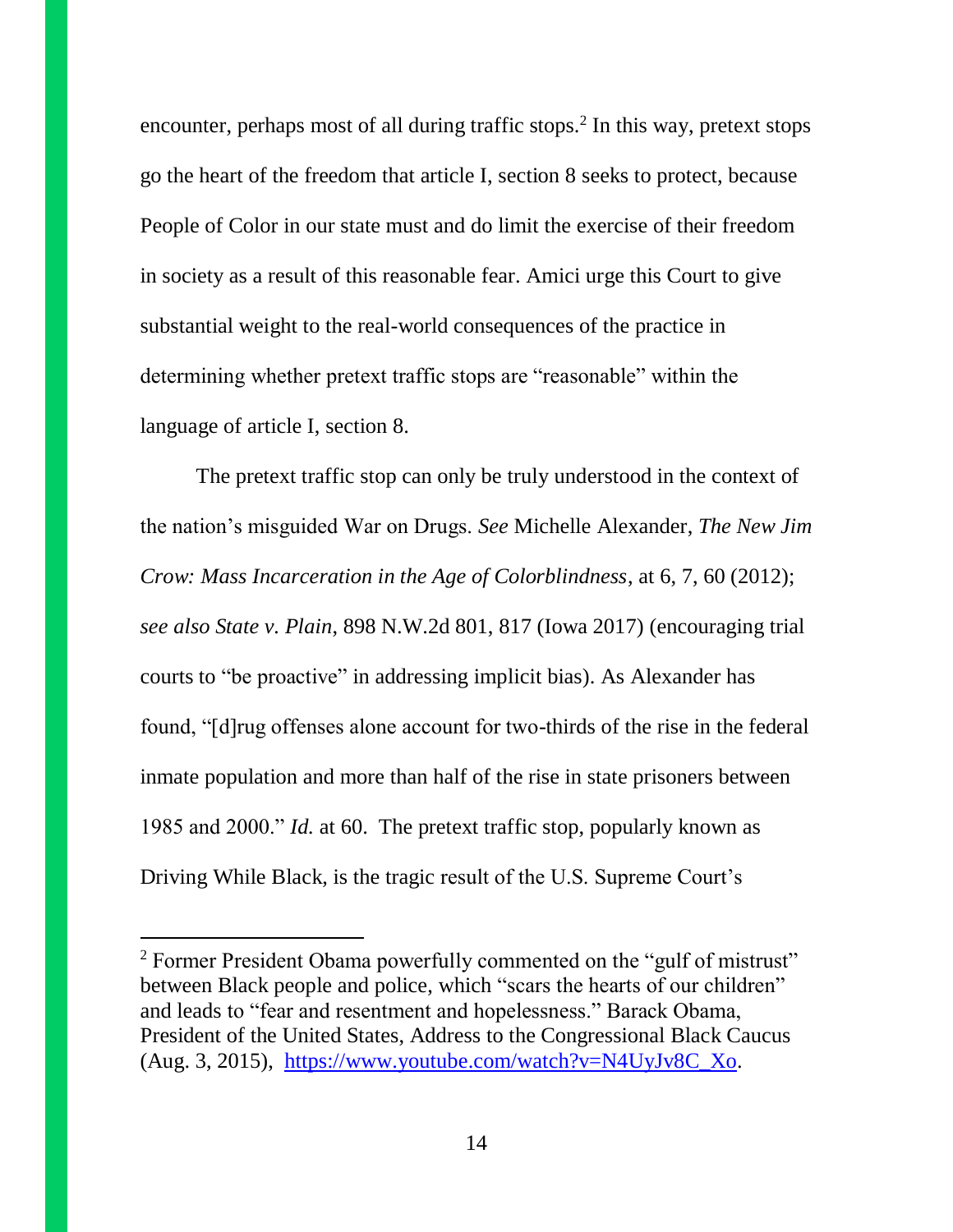encounter, perhaps most of all during traffic stops.<sup>2</sup> In this way, pretext stops go the heart of the freedom that article I, section 8 seeks to protect, because People of Color in our state must and do limit the exercise of their freedom in society as a result of this reasonable fear. Amici urge this Court to give substantial weight to the real-world consequences of the practice in determining whether pretext traffic stops are "reasonable" within the language of article I, section 8.

The pretext traffic stop can only be truly understood in the context of the nation's misguided War on Drugs. *See* Michelle Alexander, *The New Jim Crow: Mass Incarceration in the Age of Colorblindness*, at 6, 7, 60 (2012); *see also State v. Plain*, 898 N.W.2d 801, 817 (Iowa 2017) (encouraging trial courts to "be proactive" in addressing implicit bias). As Alexander has found, "[d]rug offenses alone account for two-thirds of the rise in the federal inmate population and more than half of the rise in state prisoners between 1985 and 2000." *Id.* at 60. The pretext traffic stop, popularly known as Driving While Black, is the tragic result of the U.S. Supreme Court's

 $\overline{a}$ 

<sup>&</sup>lt;sup>2</sup> Former President Obama powerfully commented on the "gulf of mistrust" between Black people and police, which "scars the hearts of our children" and leads to "fear and resentment and hopelessness." Barack Obama, President of the United States, Address to the Congressional Black Caucus (Aug. 3, 2015), [https://www.youtube.com/watch?v=N4UyJv8C\\_Xo.](https://www.youtube.com/watch?v=N4UyJv8C_Xo)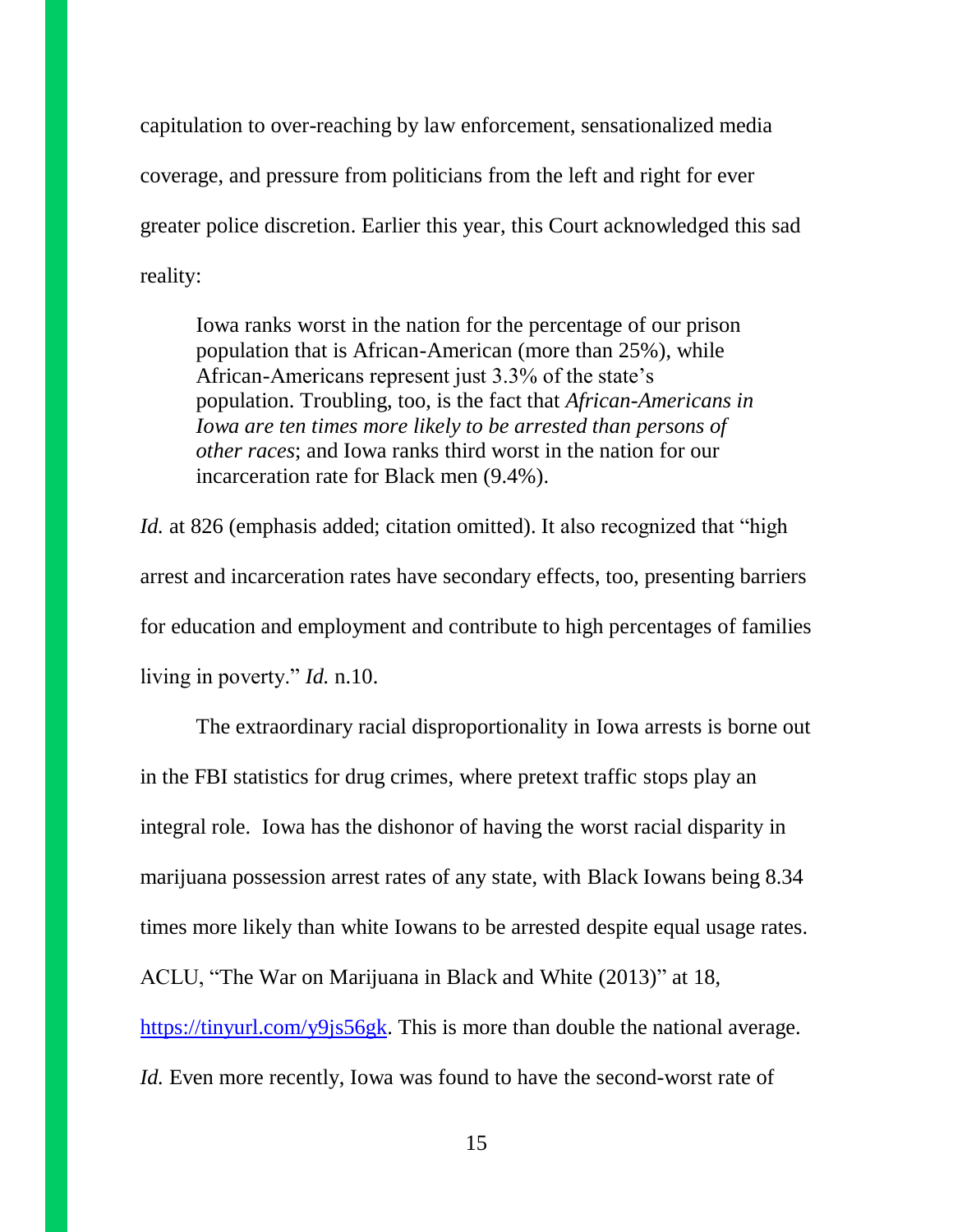capitulation to over-reaching by law enforcement, sensationalized media coverage, and pressure from politicians from the left and right for ever greater police discretion. Earlier this year, this Court acknowledged this sad reality:

Iowa ranks worst in the nation for the percentage of our prison population that is African-American (more than 25%), while African-Americans represent just 3.3% of the state's population. Troubling, too, is the fact that *African-Americans in Iowa are ten times more likely to be arrested than persons of other races*; and Iowa ranks third worst in the nation for our incarceration rate for Black men (9.4%).

*Id.* at 826 (emphasis added; citation omitted). It also recognized that "high arrest and incarceration rates have secondary effects, too, presenting barriers for education and employment and contribute to high percentages of families living in poverty." *Id.* n.10.

The extraordinary racial disproportionality in Iowa arrests is borne out in the FBI statistics for drug crimes, where pretext traffic stops play an integral role. Iowa has the dishonor of having the worst racial disparity in marijuana possession arrest rates of any state, with Black Iowans being 8.34 times more likely than white Iowans to be arrested despite equal usage rates. ACLU, "The War on Marijuana in Black and White (2013)" at 18, [https://tinyurl.com/y9js56gk.](https://tinyurl.com/y9js56gk) This is more than double the national average. *Id.* Even more recently, Iowa was found to have the second-worst rate of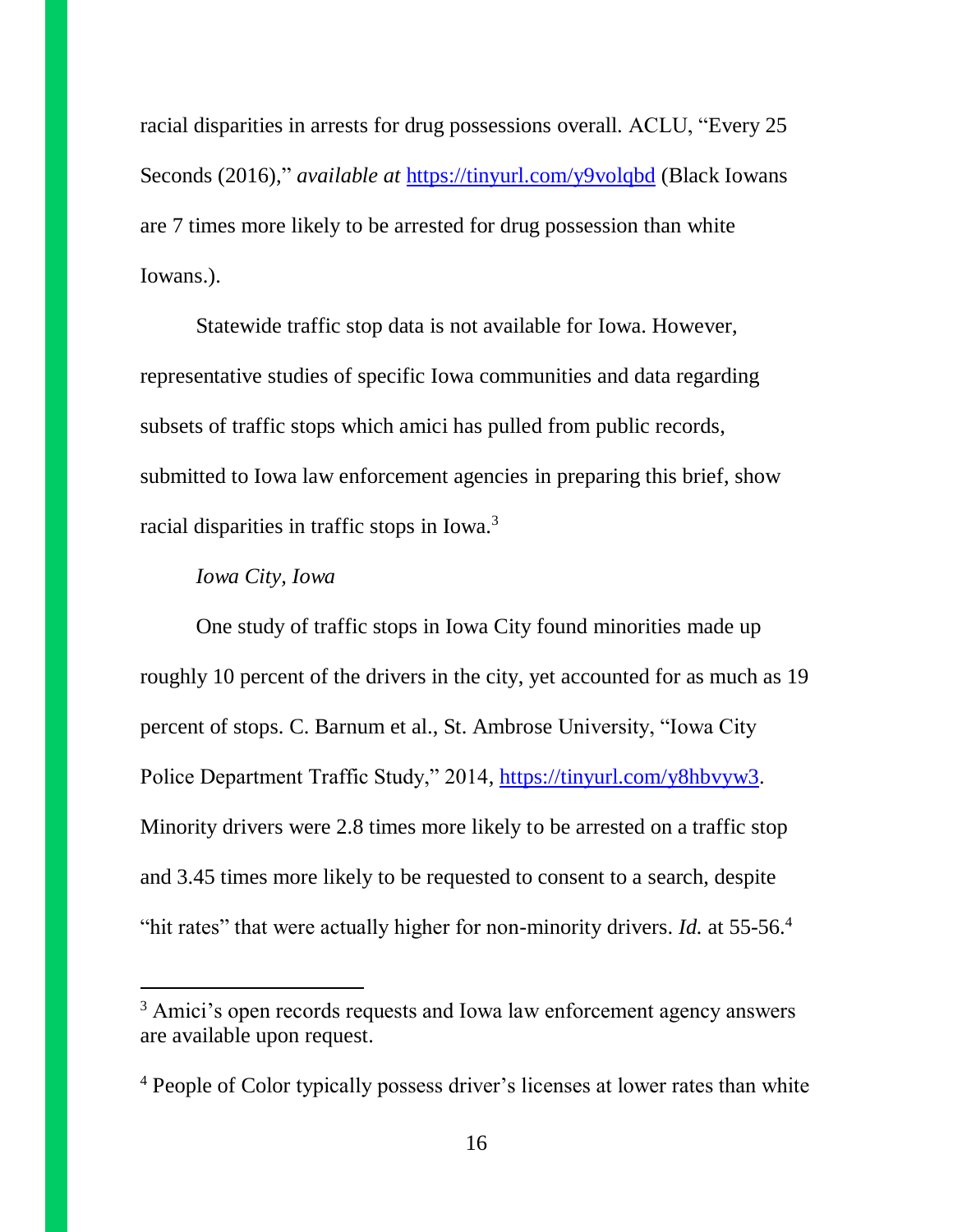racial disparities in arrests for drug possessions overall. ACLU, "Every 25 Seconds (2016)," *available at* <https://tinyurl.com/y9volqbd> (Black Iowans are 7 times more likely to be arrested for drug possession than white Iowans.).

Statewide traffic stop data is not available for Iowa. However, representative studies of specific Iowa communities and data regarding subsets of traffic stops which amici has pulled from public records, submitted to Iowa law enforcement agencies in preparing this brief, show racial disparities in traffic stops in Iowa.<sup>3</sup>

#### *Iowa City, Iowa*

One study of traffic stops in Iowa City found minorities made up roughly 10 percent of the drivers in the city, yet accounted for as much as 19 percent of stops. C. Barnum et al., St. Ambrose University, "Iowa City Police Department Traffic Study," 2014, [https://tinyurl.com/y8hbvyw3.](https://tinyurl.com/y8hbvyw3) Minority drivers were 2.8 times more likely to be arrested on a traffic stop and 3.45 times more likely to be requested to consent to a search, despite "hit rates" that were actually higher for non-minority drivers. *Id.* at 55-56.<sup>4</sup>

<sup>&</sup>lt;sup>3</sup> Amici's open records requests and Iowa law enforcement agency answers are available upon request.

<sup>4</sup> People of Color typically possess driver's licenses at lower rates than white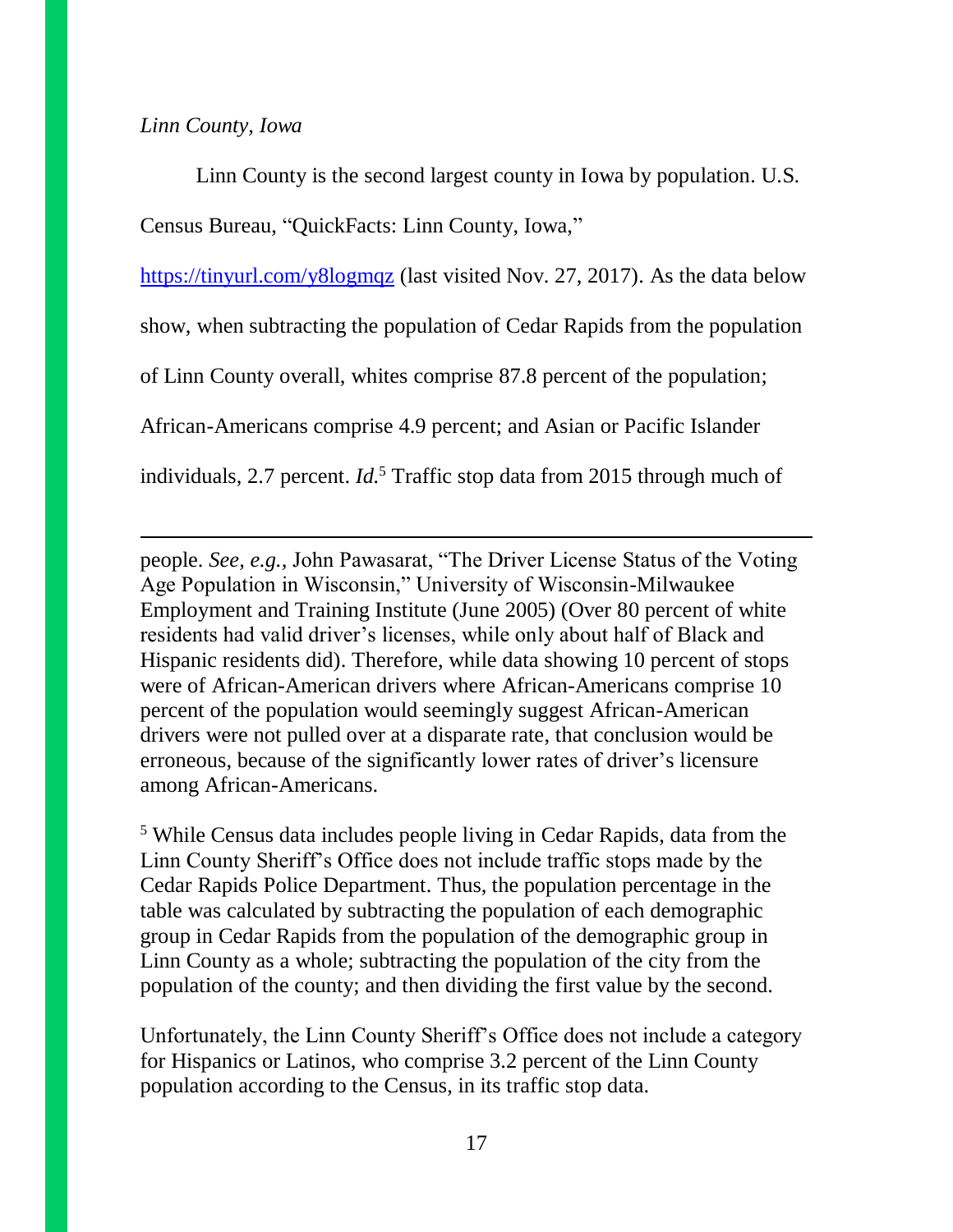#### *Linn County, Iowa*

Linn County is the second largest county in Iowa by population. U.S. Census Bureau, "QuickFacts: Linn County, Iowa,"

<https://tinyurl.com/y8logmqz> (last visited Nov. 27, 2017). As the data below

show, when subtracting the population of Cedar Rapids from the population

of Linn County overall, whites comprise 87.8 percent of the population;

African-Americans comprise 4.9 percent; and Asian or Pacific Islander

individuals, 2.7 percent. *Id.*<sup>5</sup> Traffic stop data from 2015 through much of

people. *See, e.g.,* John Pawasarat, "The Driver License Status of the Voting Age Population in Wisconsin," University of Wisconsin-Milwaukee Employment and Training Institute (June 2005) (Over 80 percent of white residents had valid driver's licenses, while only about half of Black and Hispanic residents did). Therefore, while data showing 10 percent of stops were of African-American drivers where African-Americans comprise 10 percent of the population would seemingly suggest African-American drivers were not pulled over at a disparate rate, that conclusion would be erroneous, because of the significantly lower rates of driver's licensure among African-Americans.

<sup>5</sup> While Census data includes people living in Cedar Rapids, data from the Linn County Sheriff's Office does not include traffic stops made by the Cedar Rapids Police Department. Thus, the population percentage in the table was calculated by subtracting the population of each demographic group in Cedar Rapids from the population of the demographic group in Linn County as a whole; subtracting the population of the city from the population of the county; and then dividing the first value by the second.

Unfortunately, the Linn County Sheriff's Office does not include a category for Hispanics or Latinos, who comprise 3.2 percent of the Linn County population according to the Census, in its traffic stop data.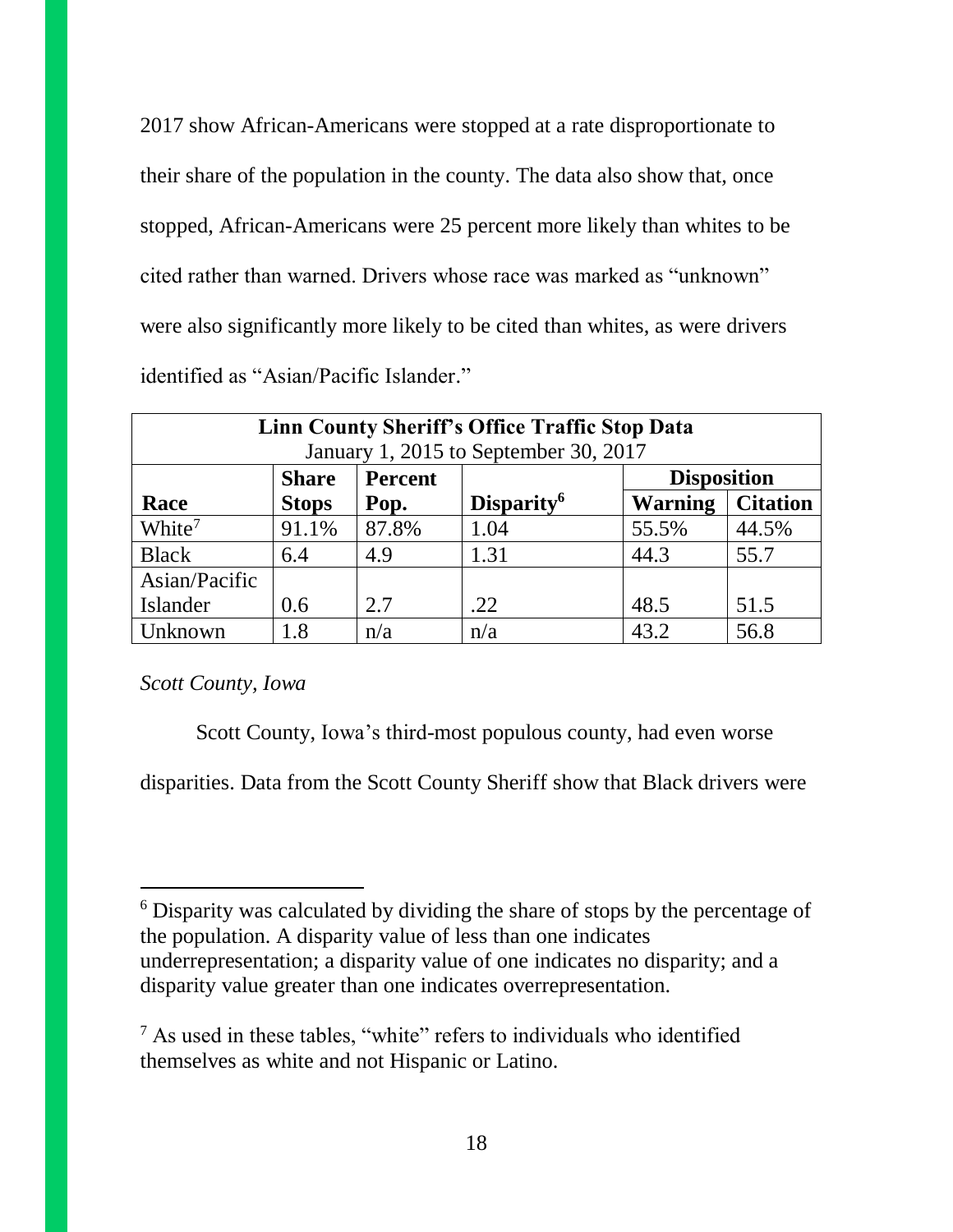2017 show African-Americans were stopped at a rate disproportionate to their share of the population in the county. The data also show that, once stopped, African-Americans were 25 percent more likely than whites to be cited rather than warned. Drivers whose race was marked as "unknown" were also significantly more likely to be cited than whites, as were drivers identified as "Asian/Pacific Islander."

| Linn County Sheriff's Office Traffic Stop Data<br>January 1, 2015 to September 30, 2017 |                                               |       |                        |                |                 |  |  |  |
|-----------------------------------------------------------------------------------------|-----------------------------------------------|-------|------------------------|----------------|-----------------|--|--|--|
|                                                                                         | <b>Disposition</b><br><b>Share</b><br>Percent |       |                        |                |                 |  |  |  |
| Race                                                                                    | <b>Stops</b>                                  | Pop.  | Disparity <sup>6</sup> | <b>Warning</b> | <b>Citation</b> |  |  |  |
| White <sup>7</sup>                                                                      | 91.1%                                         | 87.8% | 1.04                   | 55.5%          | 44.5%           |  |  |  |
| <b>Black</b>                                                                            | 6.4                                           | 4.9   | 1.31                   | 44.3           | 55.7            |  |  |  |
| Asian/Pacific                                                                           |                                               |       |                        |                |                 |  |  |  |
| Islander                                                                                | 0.6                                           | 2.7   | .22                    | 48.5           | 51.5            |  |  |  |
| Unknown                                                                                 | 1.8                                           | n/a   | n/a                    | 43.2           | 56.8            |  |  |  |

*Scott County, Iowa*

 $\overline{a}$ 

Scott County, Iowa's third-most populous county, had even worse

disparities. Data from the Scott County Sheriff show that Black drivers were

<sup>6</sup> Disparity was calculated by dividing the share of stops by the percentage of the population. A disparity value of less than one indicates underrepresentation; a disparity value of one indicates no disparity; and a disparity value greater than one indicates overrepresentation.

<sup>7</sup> As used in these tables, "white" refers to individuals who identified themselves as white and not Hispanic or Latino.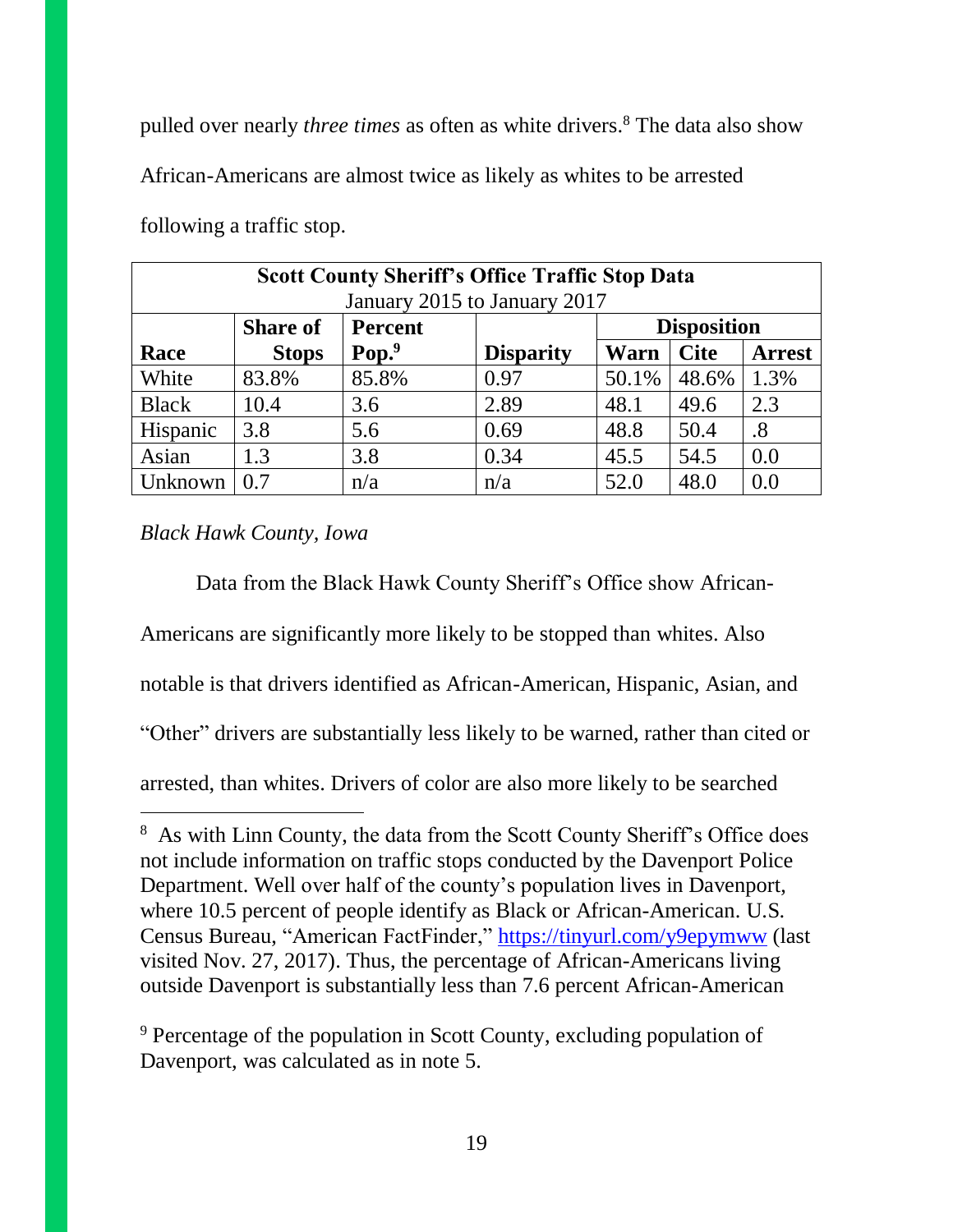pulled over nearly *three times* as often as white drivers.<sup>8</sup> The data also show

African-Americans are almost twice as likely as whites to be arrested

| <b>Scott County Sheriff's Office Traffic Stop Data</b> |                                                         |          |                  |       |             |               |  |  |  |
|--------------------------------------------------------|---------------------------------------------------------|----------|------------------|-------|-------------|---------------|--|--|--|
|                                                        | January 2015 to January 2017                            |          |                  |       |             |               |  |  |  |
|                                                        | <b>Disposition</b><br><b>Share of</b><br><b>Percent</b> |          |                  |       |             |               |  |  |  |
| Race                                                   | <b>Stops</b>                                            | $Pop.^9$ | <b>Disparity</b> | Warn  | <b>Cite</b> | <b>Arrest</b> |  |  |  |
| White                                                  | 83.8%                                                   | 85.8%    | 0.97             | 50.1% | 48.6%       | 1.3%          |  |  |  |
| <b>Black</b>                                           | 10.4                                                    | 3.6      | 2.89             | 48.1  | 49.6        | 2.3           |  |  |  |
| Hispanic                                               | 3.8                                                     | 5.6      | 0.69             | 48.8  | 50.4        | .8            |  |  |  |
| Asian                                                  | 1.3                                                     | 3.8      | 0.34             | 45.5  | 54.5        | 0.0           |  |  |  |
| Unknown                                                | 0.7                                                     | n/a      | n/a              | 52.0  | 48.0        | 0.0           |  |  |  |

following a traffic stop.

## *Black Hawk County, Iowa*

l

Data from the Black Hawk County Sheriff's Office show African-Americans are significantly more likely to be stopped than whites. Also notable is that drivers identified as African-American, Hispanic, Asian, and "Other" drivers are substantially less likely to be warned, rather than cited or arrested, than whites. Drivers of color are also more likely to be searched

<sup>9</sup> Percentage of the population in Scott County, excluding population of Davenport, was calculated as in note 5.

<sup>&</sup>lt;sup>8</sup> As with Linn County, the data from the Scott County Sheriff's Office does not include information on traffic stops conducted by the Davenport Police Department. Well over half of the county's population lives in Davenport, where 10.5 percent of people identify as Black or African-American. U.S. Census Bureau, "American FactFinder," <https://tinyurl.com/y9epymww> (last visited Nov. 27, 2017). Thus, the percentage of African-Americans living outside Davenport is substantially less than 7.6 percent African-American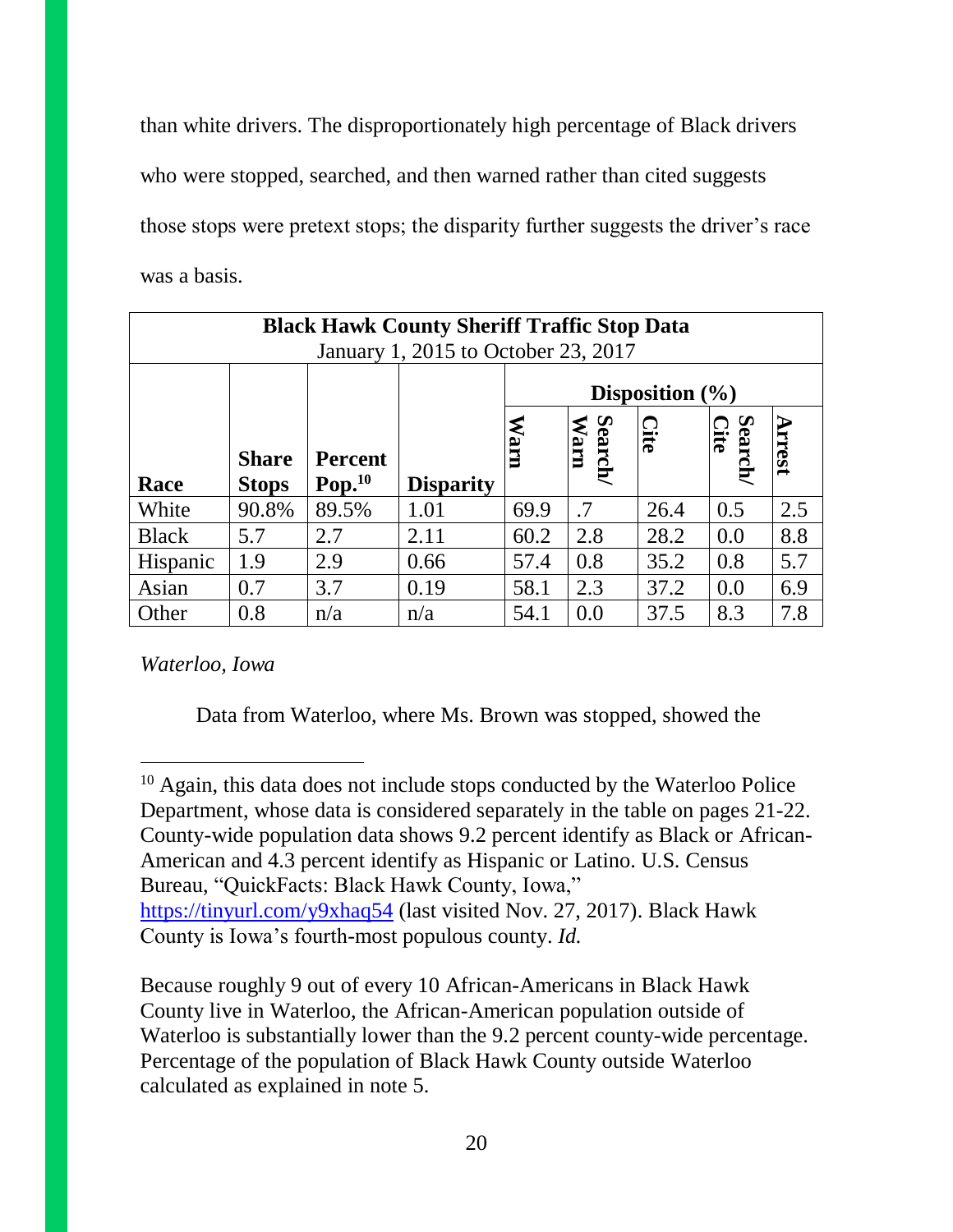than white drivers. The disproportionately high percentage of Black drivers who were stopped, searched, and then warned rather than cited suggests those stops were pretext stops; the disparity further suggests the driver's race was a basis.

| <b>Black Hawk County Sheriff Traffic Stop Data</b><br>January 1, 2015 to October 23, 2017 |                              |                               |                     |             |                 |      |                        |               |
|-------------------------------------------------------------------------------------------|------------------------------|-------------------------------|---------------------|-------------|-----------------|------|------------------------|---------------|
|                                                                                           |                              |                               | Disposition $(\% )$ |             |                 |      |                        |               |
| Race                                                                                      | <b>Share</b><br><b>Stops</b> | <b>Percent</b><br>$Pop.^{10}$ | <b>Disparity</b>    | <b>Marn</b> | Search/<br>Warn | Cite | <b>Search/</b><br>Cite | <b>Arrest</b> |
| White                                                                                     | 90.8%                        | 89.5%                         | 1.01                | 69.9        | $\cdot$ .7      | 26.4 | 0.5                    | 2.5           |
| <b>Black</b>                                                                              | 5.7                          | 2.7                           | 2.11                | 60.2        | 2.8             | 28.2 | 0.0                    | 8.8           |
| Hispanic                                                                                  | 1.9                          | 2.9                           | 0.66                | 57.4        | 0.8             | 35.2 | 0.8                    | 5.7           |
| Asian                                                                                     | 0.7                          | 3.7                           | 0.19                | 58.1        | 2.3             | 37.2 | 0.0                    | 6.9           |
| Other                                                                                     | 0.8                          | n/a                           | n/a                 | 54.1        | 0.0             | 37.5 | 8.3                    | 7.8           |

*Waterloo, Iowa*

Data from Waterloo, where Ms. Brown was stopped, showed the

l  $10$  Again, this data does not include stops conducted by the Waterloo Police Department, whose data is considered separately in the table on pages 21-22. County-wide population data shows 9.2 percent identify as Black or African-American and 4.3 percent identify as Hispanic or Latino. U.S. Census Bureau, "QuickFacts: Black Hawk County, Iowa," <https://tinyurl.com/y9xhaq54> (last visited Nov. 27, 2017). Black Hawk County is Iowa's fourth-most populous county. *Id.*

Because roughly 9 out of every 10 African-Americans in Black Hawk County live in Waterloo, the African-American population outside of Waterloo is substantially lower than the 9.2 percent county-wide percentage. Percentage of the population of Black Hawk County outside Waterloo calculated as explained in note 5.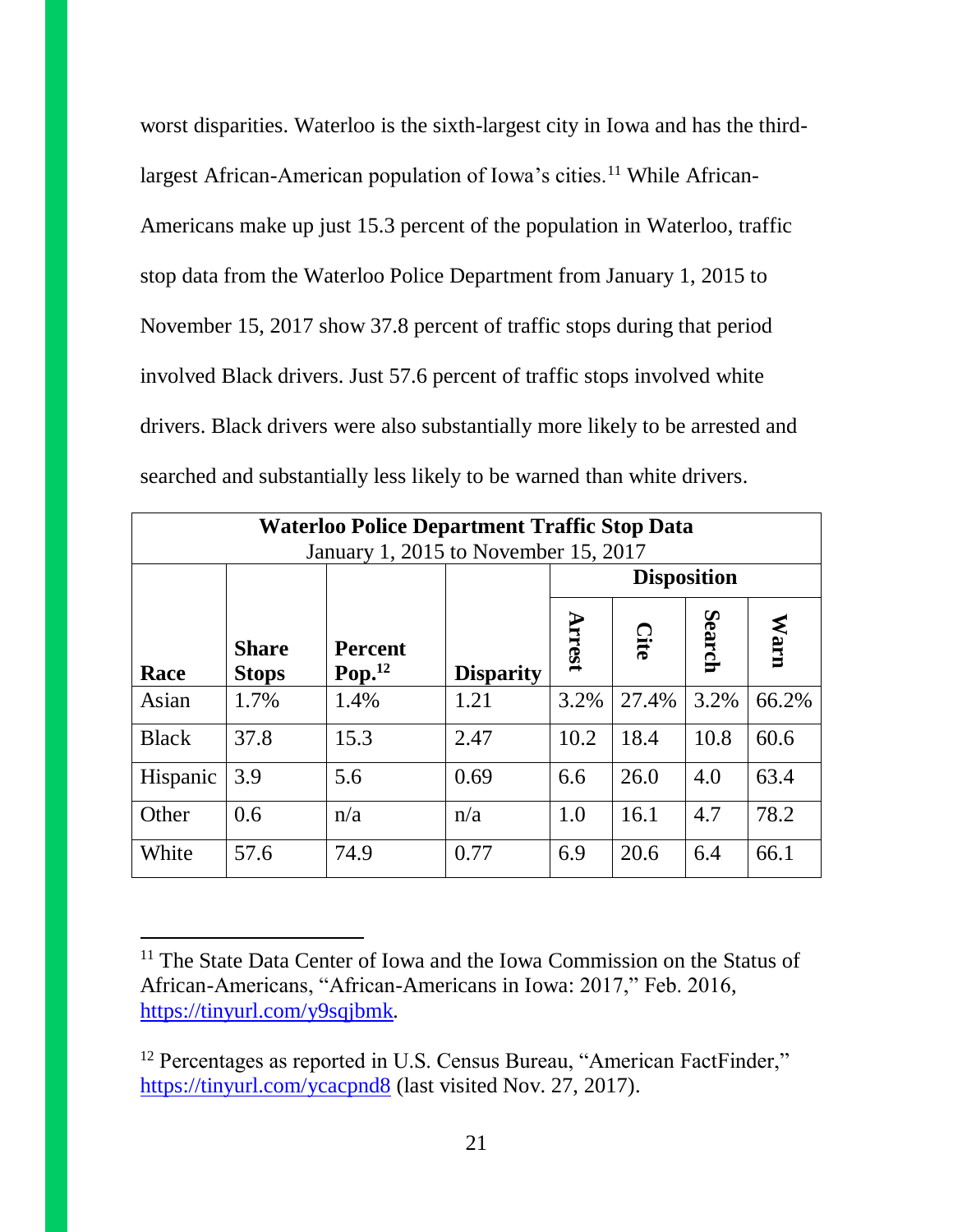worst disparities. Waterloo is the sixth-largest city in Iowa and has the thirdlargest African-American population of Iowa's cities.<sup>11</sup> While African-Americans make up just 15.3 percent of the population in Waterloo, traffic stop data from the Waterloo Police Department from January 1, 2015 to November 15, 2017 show 37.8 percent of traffic stops during that period involved Black drivers. Just 57.6 percent of traffic stops involved white drivers. Black drivers were also substantially more likely to be arrested and searched and substantially less likely to be warned than white drivers.

| <b>Waterloo Police Department Traffic Stop Data</b><br>January 1, 2015 to November 15, 2017 |                              |                                      |                  |                    |       |        |       |  |  |
|---------------------------------------------------------------------------------------------|------------------------------|--------------------------------------|------------------|--------------------|-------|--------|-------|--|--|
|                                                                                             |                              |                                      |                  | <b>Disposition</b> |       |        |       |  |  |
| Race                                                                                        | <b>Share</b><br><b>Stops</b> | <b>Percent</b><br>Pop. <sup>12</sup> | <b>Disparity</b> | <b>Arrest</b>      | Cite  | Search | Warn  |  |  |
| Asian                                                                                       | 1.7%                         | 1.4%                                 | 1.21             | 3.2%               | 27.4% | 3.2%   | 66.2% |  |  |
| <b>Black</b>                                                                                | 37.8                         | 15.3                                 | 2.47             | 10.2               | 18.4  | 10.8   | 60.6  |  |  |
| Hispanic                                                                                    | 3.9                          | 5.6                                  | 0.69             | 6.6                | 26.0  | 4.0    | 63.4  |  |  |
| Other                                                                                       | 0.6                          | n/a                                  | n/a              | 1.0                | 16.1  | 4.7    | 78.2  |  |  |
| White                                                                                       | 57.6                         | 74.9                                 | 0.77             | 6.9                | 20.6  | 6.4    | 66.1  |  |  |

 $\overline{a}$ 

<sup>&</sup>lt;sup>11</sup> The State Data Center of Iowa and the Iowa Commission on the Status of African-Americans, "African-Americans in Iowa: 2017," Feb. 2016, <https://tinyurl.com/y9sqjbmk>*.*

<sup>&</sup>lt;sup>12</sup> Percentages as reported in U.S. Census Bureau, "American FactFinder," <https://tinyurl.com/ycacpnd8> (last visited Nov. 27, 2017).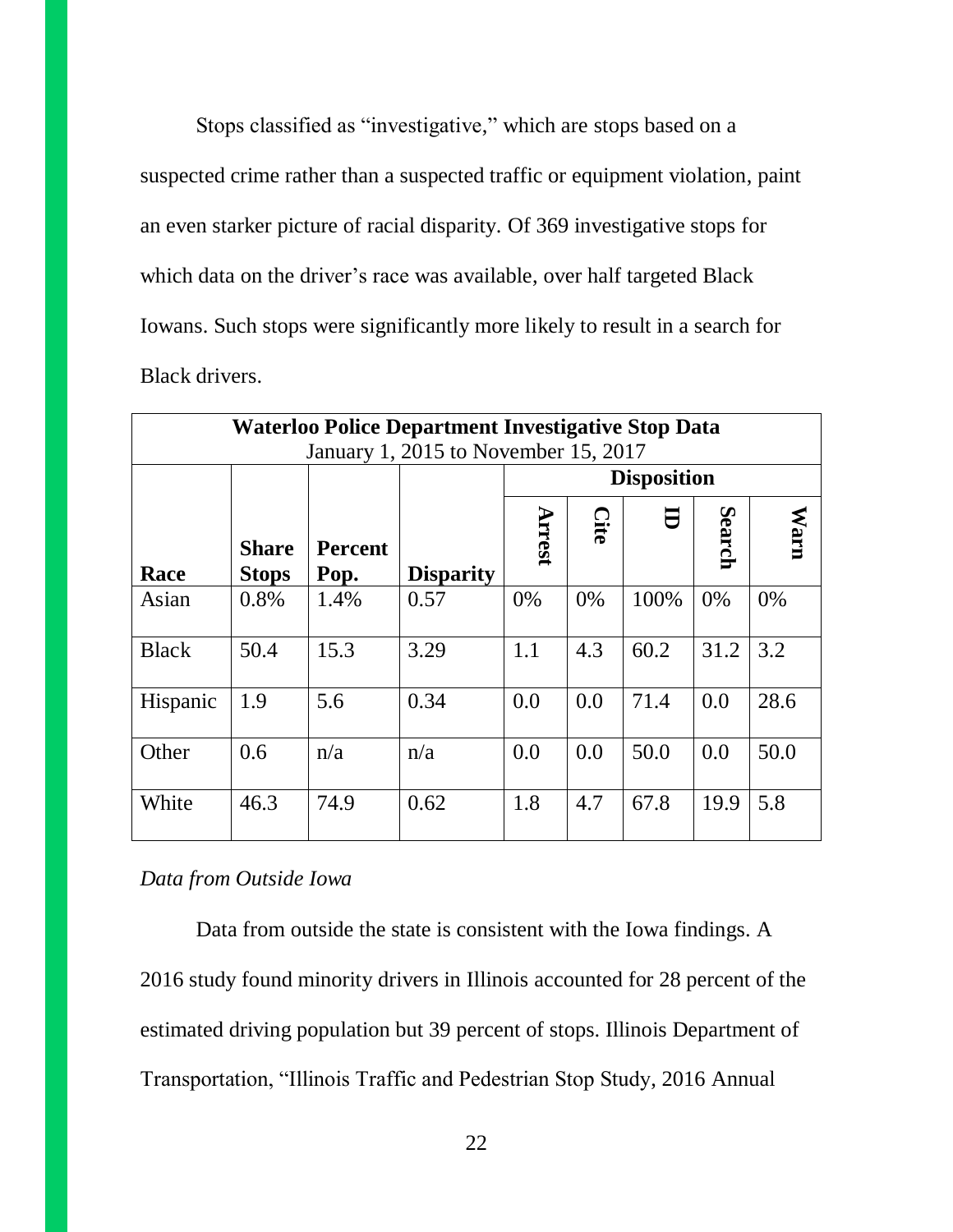Stops classified as "investigative," which are stops based on a suspected crime rather than a suspected traffic or equipment violation, paint an even starker picture of racial disparity. Of 369 investigative stops for which data on the driver's race was available, over half targeted Black Iowans. Such stops were significantly more likely to result in a search for Black drivers.

| <b>Waterloo Police Department Investigative Stop Data</b> |                                      |                        |                  |        |                    |      |               |             |  |  |
|-----------------------------------------------------------|--------------------------------------|------------------------|------------------|--------|--------------------|------|---------------|-------------|--|--|
|                                                           | January 1, 2015 to November 15, 2017 |                        |                  |        |                    |      |               |             |  |  |
|                                                           |                                      |                        |                  |        | <b>Disposition</b> |      |               |             |  |  |
| Race                                                      | <b>Share</b><br><b>Stops</b>         | <b>Percent</b><br>Pop. | <b>Disparity</b> | Arrest | Cite               |      | <b>Search</b> | <b>Warn</b> |  |  |
| Asian                                                     | 0.8%                                 | 1.4%                   | 0.57             | 0%     | $0\%$              | 100% | $0\%$         | 0%          |  |  |
| <b>Black</b>                                              | 50.4                                 | 15.3                   | 3.29             | 1.1    | 4.3                | 60.2 | 31.2          | 3.2         |  |  |
| Hispanic                                                  | 1.9                                  | 5.6                    | 0.34             | 0.0    | 0.0                | 71.4 | 0.0           | 28.6        |  |  |
| Other                                                     | 0.6                                  | n/a                    | n/a              | 0.0    | 0.0                | 50.0 | 0.0           | 50.0        |  |  |
| White                                                     | 46.3                                 | 74.9                   | 0.62             | 1.8    | 4.7                | 67.8 | 19.9          | 5.8         |  |  |

*Data from Outside Iowa*

Data from outside the state is consistent with the Iowa findings. A 2016 study found minority drivers in Illinois accounted for 28 percent of the estimated driving population but 39 percent of stops. Illinois Department of Transportation, "Illinois Traffic and Pedestrian Stop Study, 2016 Annual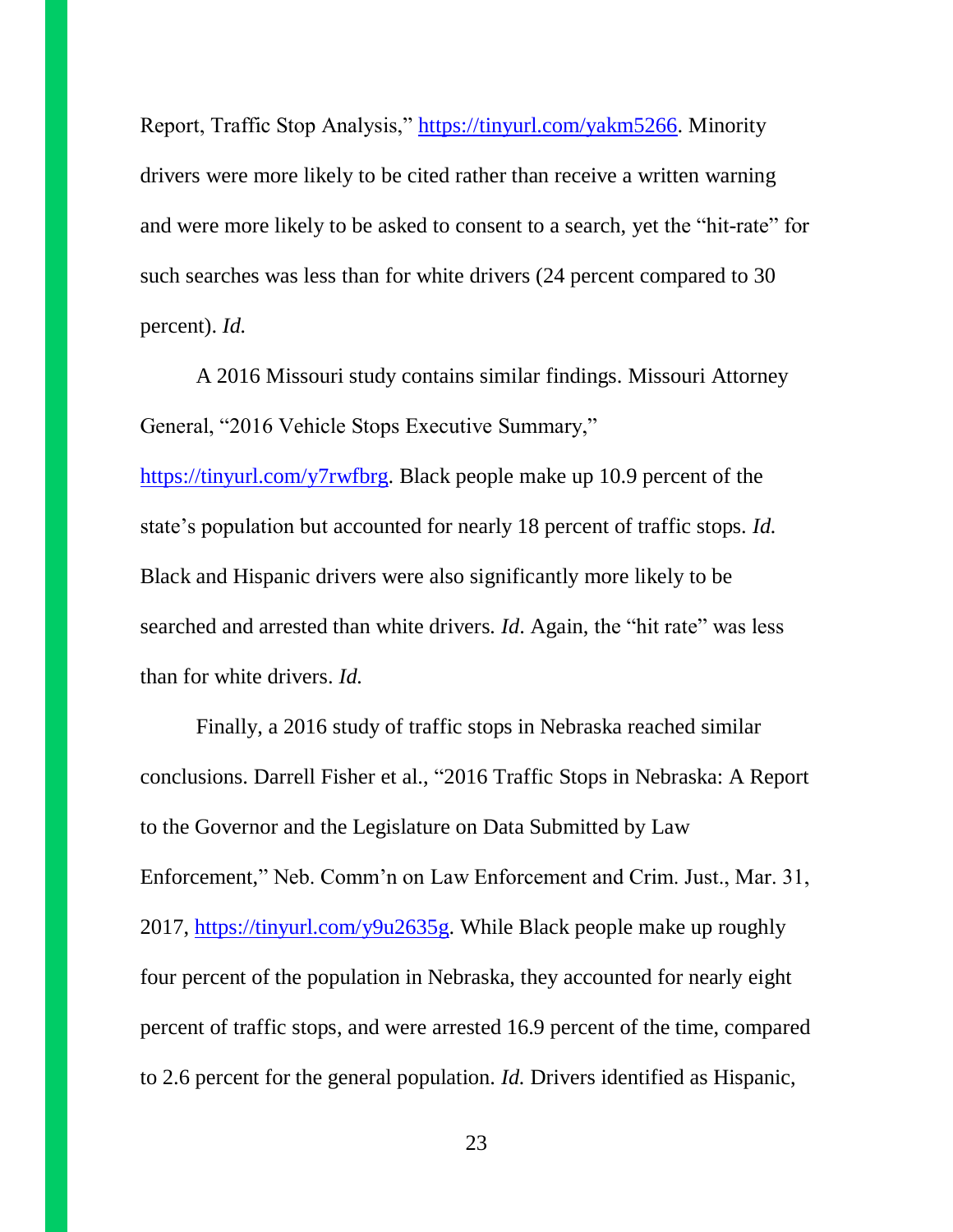Report, Traffic Stop Analysis," [https://tinyurl.com/yakm5266.](https://tinyurl.com/yakm5266) Minority drivers were more likely to be cited rather than receive a written warning and were more likely to be asked to consent to a search, yet the "hit-rate" for such searches was less than for white drivers (24 percent compared to 30 percent). *Id.* 

A 2016 Missouri study contains similar findings. Missouri Attorney General, "2016 Vehicle Stops Executive Summary,"

[https://tinyurl.com/y7rwfbrg.](https://tinyurl.com/y7rwfbrg) Black people make up 10.9 percent of the state's population but accounted for nearly 18 percent of traffic stops. *Id.* Black and Hispanic drivers were also significantly more likely to be searched and arrested than white drivers*. Id*. Again, the "hit rate" was less than for white drivers. *Id.*

Finally, a 2016 study of traffic stops in Nebraska reached similar conclusions. Darrell Fisher et al., "2016 Traffic Stops in Nebraska: A Report to the Governor and the Legislature on Data Submitted by Law Enforcement," Neb. Comm'n on Law Enforcement and Crim. Just., Mar. 31, 2017, [https://tinyurl.com/y9u2635g.](https://tinyurl.com/y9u2635g) While Black people make up roughly four percent of the population in Nebraska, they accounted for nearly eight percent of traffic stops, and were arrested 16.9 percent of the time, compared to 2.6 percent for the general population. *Id.* Drivers identified as Hispanic,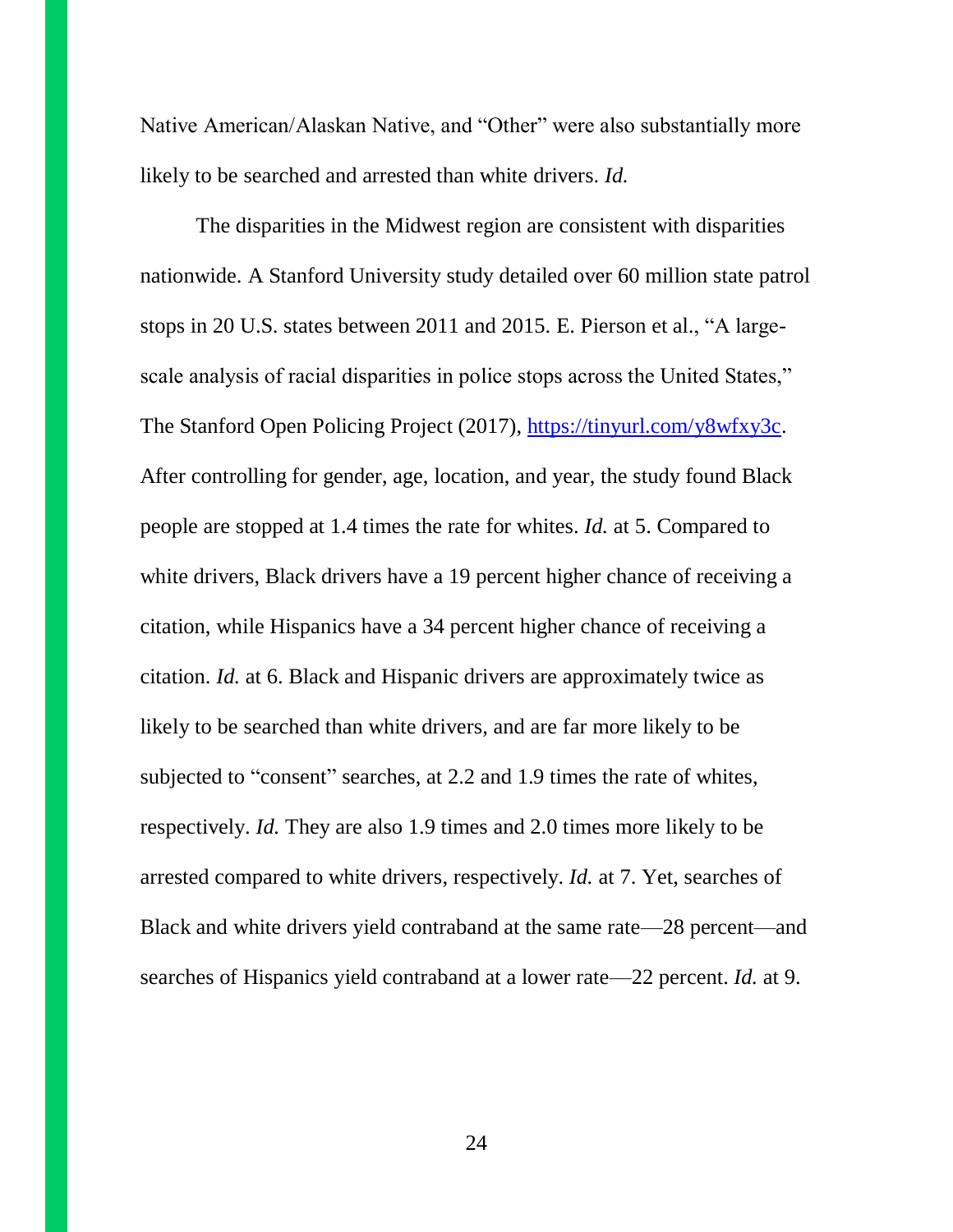Native American/Alaskan Native, and "Other" were also substantially more likely to be searched and arrested than white drivers. *Id.*

The disparities in the Midwest region are consistent with disparities nationwide. A Stanford University study detailed over 60 million state patrol stops in 20 U.S. states between 2011 and 2015. E. Pierson et al., "A largescale analysis of racial disparities in police stops across the United States," The Stanford Open Policing Project (2017), [https://tinyurl.com/y8wfxy3c.](https://tinyurl.com/y8wfxy3c) After controlling for gender, age, location, and year, the study found Black people are stopped at 1.4 times the rate for whites. *Id.* at 5. Compared to white drivers, Black drivers have a 19 percent higher chance of receiving a citation, while Hispanics have a 34 percent higher chance of receiving a citation. *Id.* at 6. Black and Hispanic drivers are approximately twice as likely to be searched than white drivers, and are far more likely to be subjected to "consent" searches, at 2.2 and 1.9 times the rate of whites, respectively. *Id.* They are also 1.9 times and 2.0 times more likely to be arrested compared to white drivers, respectively. *Id.* at 7. Yet, searches of Black and white drivers yield contraband at the same rate—28 percent—and searches of Hispanics yield contraband at a lower rate—22 percent. *Id.* at 9.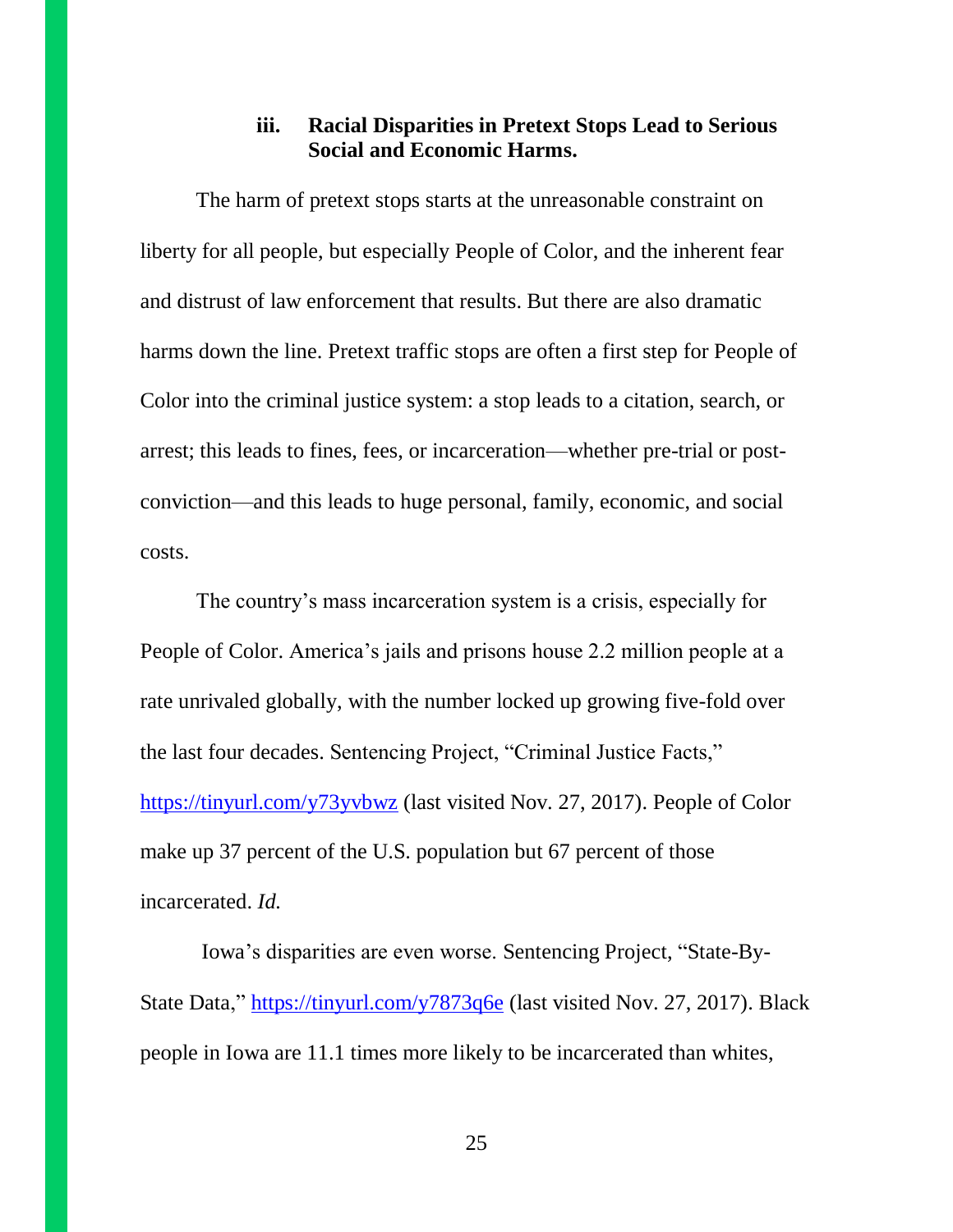## **iii. Racial Disparities in Pretext Stops Lead to Serious Social and Economic Harms.**

The harm of pretext stops starts at the unreasonable constraint on liberty for all people, but especially People of Color, and the inherent fear and distrust of law enforcement that results. But there are also dramatic harms down the line. Pretext traffic stops are often a first step for People of Color into the criminal justice system: a stop leads to a citation, search, or arrest; this leads to fines, fees, or incarceration—whether pre-trial or postconviction—and this leads to huge personal, family, economic, and social costs.

The country's mass incarceration system is a crisis, especially for People of Color. America's jails and prisons house 2.2 million people at a rate unrivaled globally, with the number locked up growing five-fold over the last four decades. Sentencing Project, "Criminal Justice Facts," <https://tinyurl.com/y73yvbwz> (last visited Nov. 27, 2017). People of Color make up 37 percent of the U.S. population but 67 percent of those incarcerated. *Id.*

Iowa's disparities are even worse. Sentencing Project, "State-By-State Data,"<https://tinyurl.com/y7873q6e> (last visited Nov. 27, 2017). Black people in Iowa are 11.1 times more likely to be incarcerated than whites,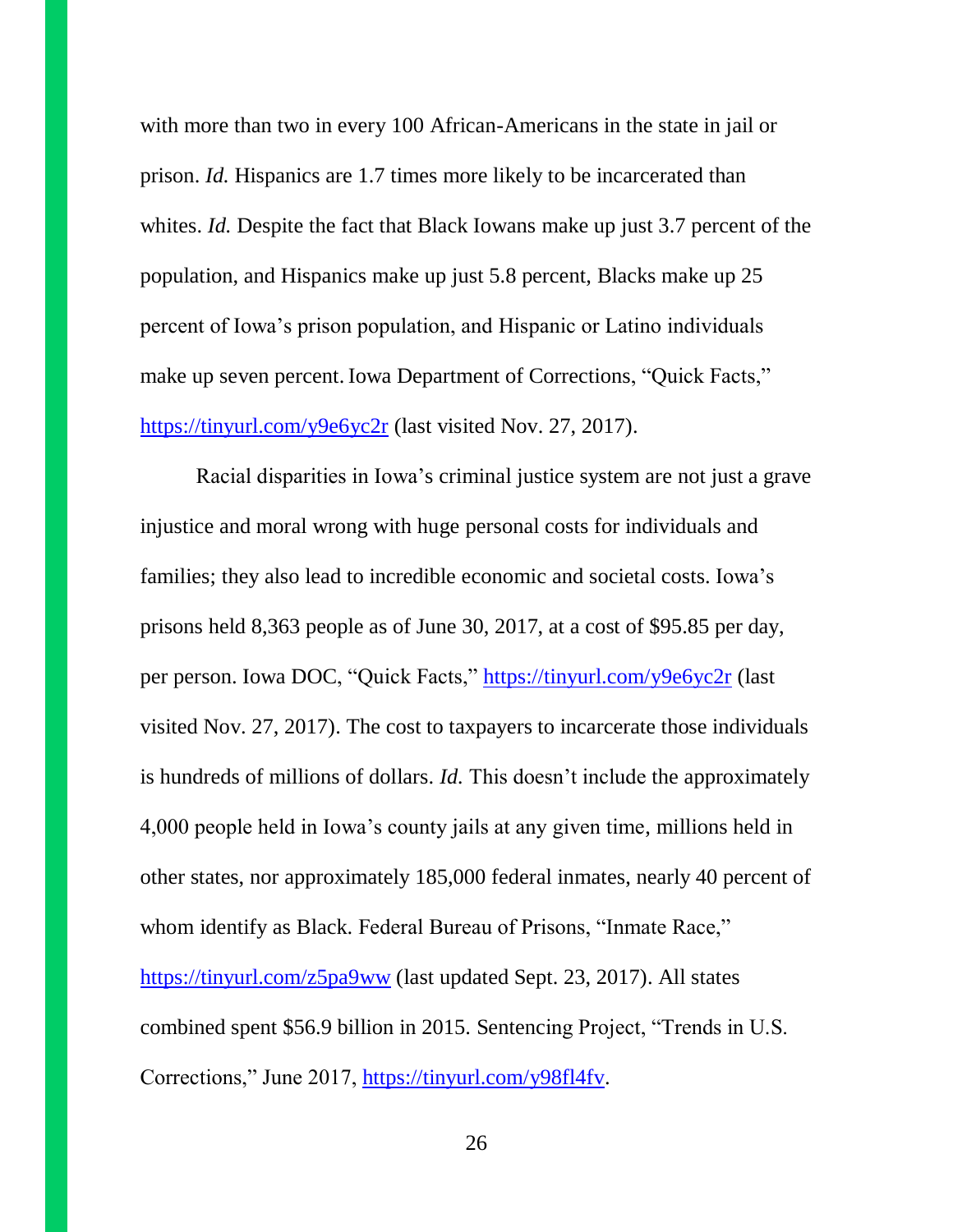with more than two in every 100 African-Americans in the state in jail or prison. *Id.* Hispanics are 1.7 times more likely to be incarcerated than whites. *Id.* Despite the fact that Black Iowans make up just 3.7 percent of the population, and Hispanics make up just 5.8 percent, Blacks make up 25 percent of Iowa's prison population, and Hispanic or Latino individuals make up seven percent. Iowa Department of Corrections, "Quick Facts," <https://tinyurl.com/y9e6yc2r> (last visited Nov. 27, 2017).

Racial disparities in Iowa's criminal justice system are not just a grave injustice and moral wrong with huge personal costs for individuals and families; they also lead to incredible economic and societal costs. Iowa's prisons held 8,363 people as of June 30, 2017, at a cost of \$95.85 per day, per person. Iowa DOC, "Quick Facts,"<https://tinyurl.com/y9e6yc2r> (last visited Nov. 27, 2017). The cost to taxpayers to incarcerate those individuals is hundreds of millions of dollars. *Id.* This doesn't include the approximately 4,000 people held in Iowa's county jails at any given time, millions held in other states, nor approximately 185,000 federal inmates, nearly 40 percent of whom identify as Black. Federal Bureau of Prisons, "Inmate Race," <https://tinyurl.com/z5pa9ww> (last updated Sept. 23, 2017). All states combined spent \$56.9 billion in 2015. Sentencing Project, "Trends in U.S. Corrections," June 2017, [https://tinyurl.com/y98fl4fv.](https://tinyurl.com/y98fl4fv)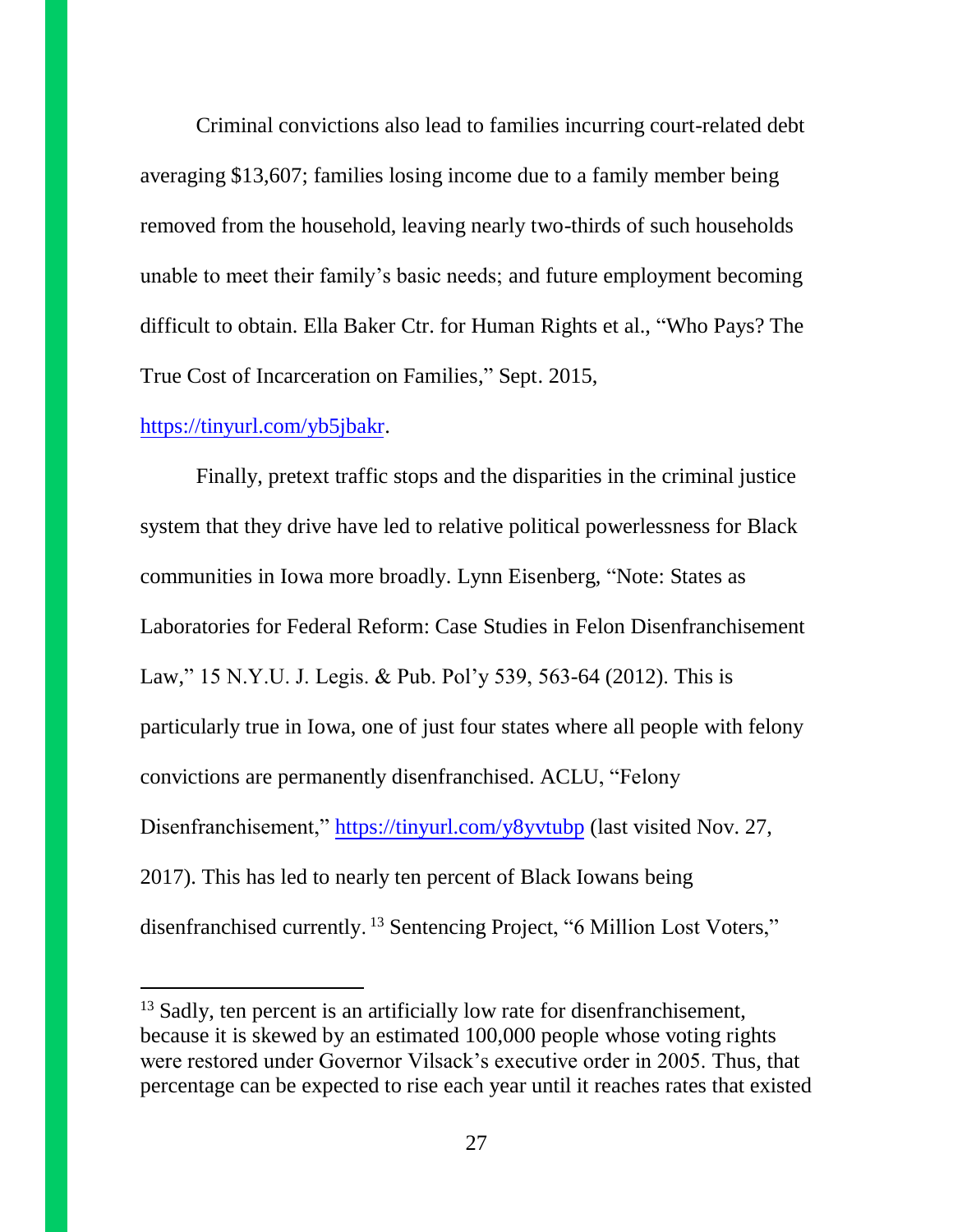Criminal convictions also lead to families incurring court-related debt averaging \$13,607; families losing income due to a family member being removed from the household, leaving nearly two-thirds of such households unable to meet their family's basic needs; and future employment becoming difficult to obtain. Ella Baker Ctr. for Human Rights et al., "Who Pays? The True Cost of Incarceration on Families," Sept. 2015,

#### [https://tinyurl.com/yb5jbakr.](https://tinyurl.com/yb5jbakr)

Finally, pretext traffic stops and the disparities in the criminal justice system that they drive have led to relative political powerlessness for Black communities in Iowa more broadly. Lynn Eisenberg, "Note: States as Laboratories for Federal Reform: Case Studies in Felon Disenfranchisement Law," 15 N.Y.U. J. Legis. & Pub. Pol'y 539, 563-64 (2012). This is particularly true in Iowa, one of just four states where all people with felony convictions are permanently disenfranchised. ACLU, "Felony Disenfranchisement,"<https://tinyurl.com/y8yvtubp> (last visited Nov. 27, 2017). This has led to nearly ten percent of Black Iowans being disenfranchised currently.<sup>13</sup> Sentencing Project, "6 Million Lost Voters,"

<sup>&</sup>lt;sup>13</sup> Sadly, ten percent is an artificially low rate for disenfranchisement, because it is skewed by an estimated 100,000 people whose voting rights were restored under Governor Vilsack's executive order in 2005. Thus, that percentage can be expected to rise each year until it reaches rates that existed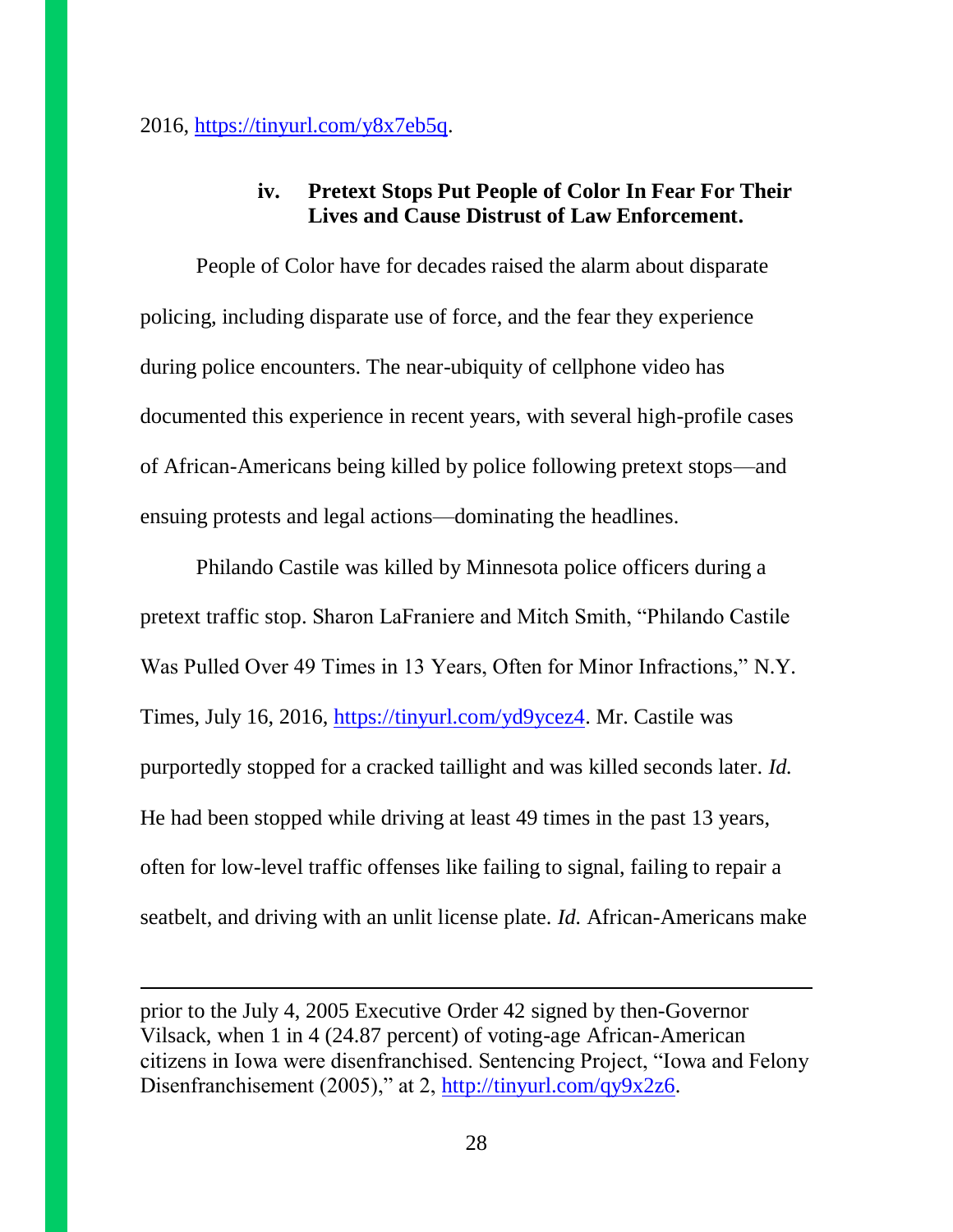$2016$ , [https://tinyurl.com/y8x7eb5q.](https://tinyurl.com/y8x7eb5q)

## **iv. Pretext Stops Put People of Color In Fear For Their Lives and Cause Distrust of Law Enforcement.**

People of Color have for decades raised the alarm about disparate policing, including disparate use of force, and the fear they experience during police encounters. The near-ubiquity of cellphone video has documented this experience in recent years, with several high-profile cases of African-Americans being killed by police following pretext stops—and ensuing protests and legal actions—dominating the headlines.

Philando Castile was killed by Minnesota police officers during a pretext traffic stop. Sharon LaFraniere and Mitch Smith, "Philando Castile Was Pulled Over 49 Times in 13 Years, Often for Minor Infractions," N.Y. Times, July 16, 2016, [https://tinyurl.com/yd9ycez4.](https://tinyurl.com/yd9ycez4) Mr. Castile was purportedly stopped for a cracked taillight and was killed seconds later. *Id.* He had been stopped while driving at least 49 times in the past 13 years, often for low-level traffic offenses like failing to signal, failing to repair a seatbelt, and driving with an unlit license plate. *Id.* African-Americans make

prior to the July 4, 2005 Executive Order 42 signed by then-Governor Vilsack, when 1 in 4 (24.87 percent) of voting-age African-American citizens in Iowa were disenfranchised. Sentencing Project, "Iowa and Felony Disenfranchisement (2005)," at 2, [http://tinyurl.com/qy9x2z6.](http://tinyurl.com/qy9x2z6)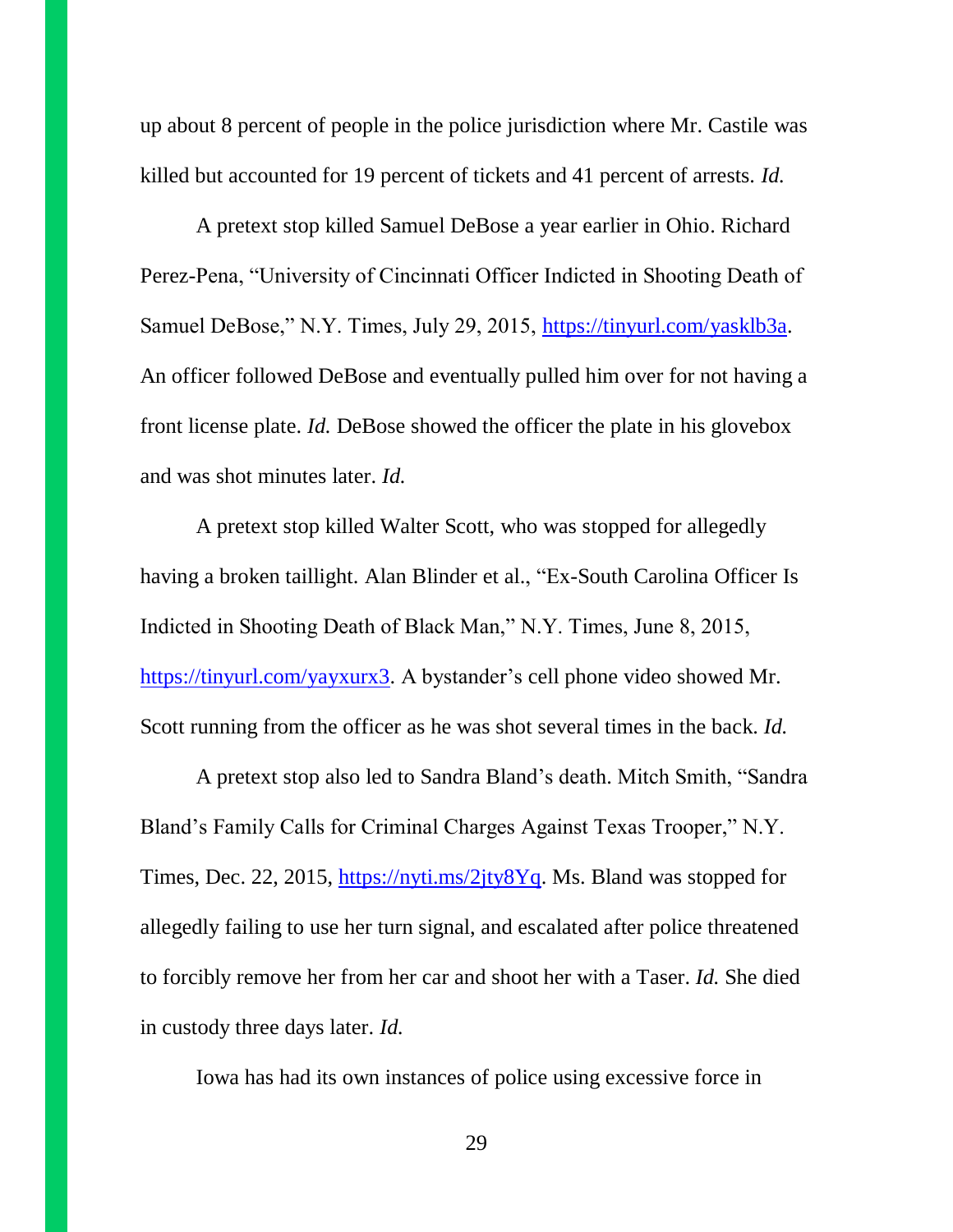up about 8 percent of people in the police jurisdiction where Mr. Castile was killed but accounted for 19 percent of tickets and 41 percent of arrests. *Id.*

A pretext stop killed Samuel DeBose a year earlier in Ohio. Richard Perez-Pena, "University of Cincinnati Officer Indicted in Shooting Death of Samuel DeBose," N.Y. Times, July 29, 2015, [https://tinyurl.com/yasklb3a.](https://tinyurl.com/yasklb3a) An officer followed DeBose and eventually pulled him over for not having a front license plate. *Id.* DeBose showed the officer the plate in his glovebox and was shot minutes later. *Id.*

A pretext stop killed Walter Scott, who was stopped for allegedly having a broken taillight. Alan Blinder et al., "Ex-South Carolina Officer Is Indicted in Shooting Death of Black Man," N.Y. Times, June 8, 2015, [https://tinyurl.com/yayxurx3.](https://tinyurl.com/yayxurx3) A bystander's cell phone video showed Mr. Scott running from the officer as he was shot several times in the back. *Id.*

A pretext stop also led to Sandra Bland's death. Mitch Smith, "Sandra Bland's Family Calls for Criminal Charges Against Texas Trooper," N.Y. Times, Dec. 22, 2015, [https://nyti.ms/2jty8Yq.](https://nyti.ms/2jty8Yq) Ms. Bland was stopped for allegedly failing to use her turn signal, and escalated after police threatened to forcibly remove her from her car and shoot her with a Taser. *Id.* She died in custody three days later. *Id.*

Iowa has had its own instances of police using excessive force in

29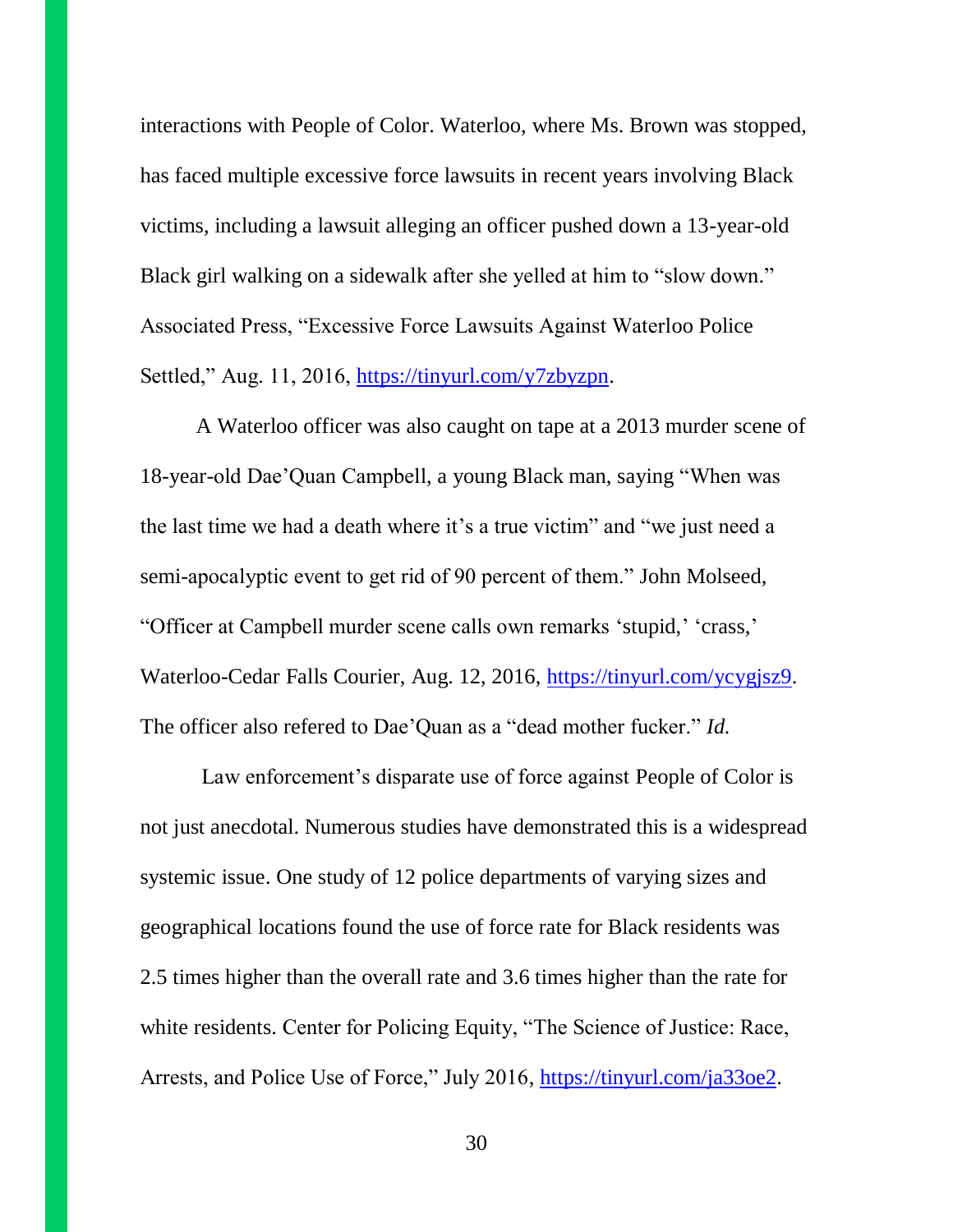interactions with People of Color. Waterloo, where Ms. Brown was stopped, has faced multiple excessive force lawsuits in recent years involving Black victims, including a lawsuit alleging an officer pushed down a 13-year-old Black girl walking on a sidewalk after she yelled at him to "slow down." Associated Press, "Excessive Force Lawsuits Against Waterloo Police Settled," Aug. 11, 2016, [https://tinyurl.com/y7zbyzpn.](https://tinyurl.com/y7zbyzpn)

A Waterloo officer was also caught on tape at a 2013 murder scene of 18-year-old Dae'Quan Campbell, a young Black man, saying "When was the last time we had a death where it's a true victim" and "we just need a semi-apocalyptic event to get rid of 90 percent of them." John Molseed, "Officer at Campbell murder scene calls own remarks 'stupid,' 'crass,' Waterloo-Cedar Falls Courier, Aug. 12, 2016, [https://tinyurl.com/ycygjsz9.](https://tinyurl.com/ycygjsz9) The officer also refered to Dae'Quan as a "dead mother fucker." *Id.*

Law enforcement's disparate use of force against People of Color is not just anecdotal. Numerous studies have demonstrated this is a widespread systemic issue. One study of 12 police departments of varying sizes and geographical locations found the use of force rate for Black residents was 2.5 times higher than the overall rate and 3.6 times higher than the rate for white residents. Center for Policing Equity, "The Science of Justice: Race, Arrests, and Police Use of Force," July 2016, [https://tinyurl.com/ja33oe2.](https://tinyurl.com/ja33oe2)

30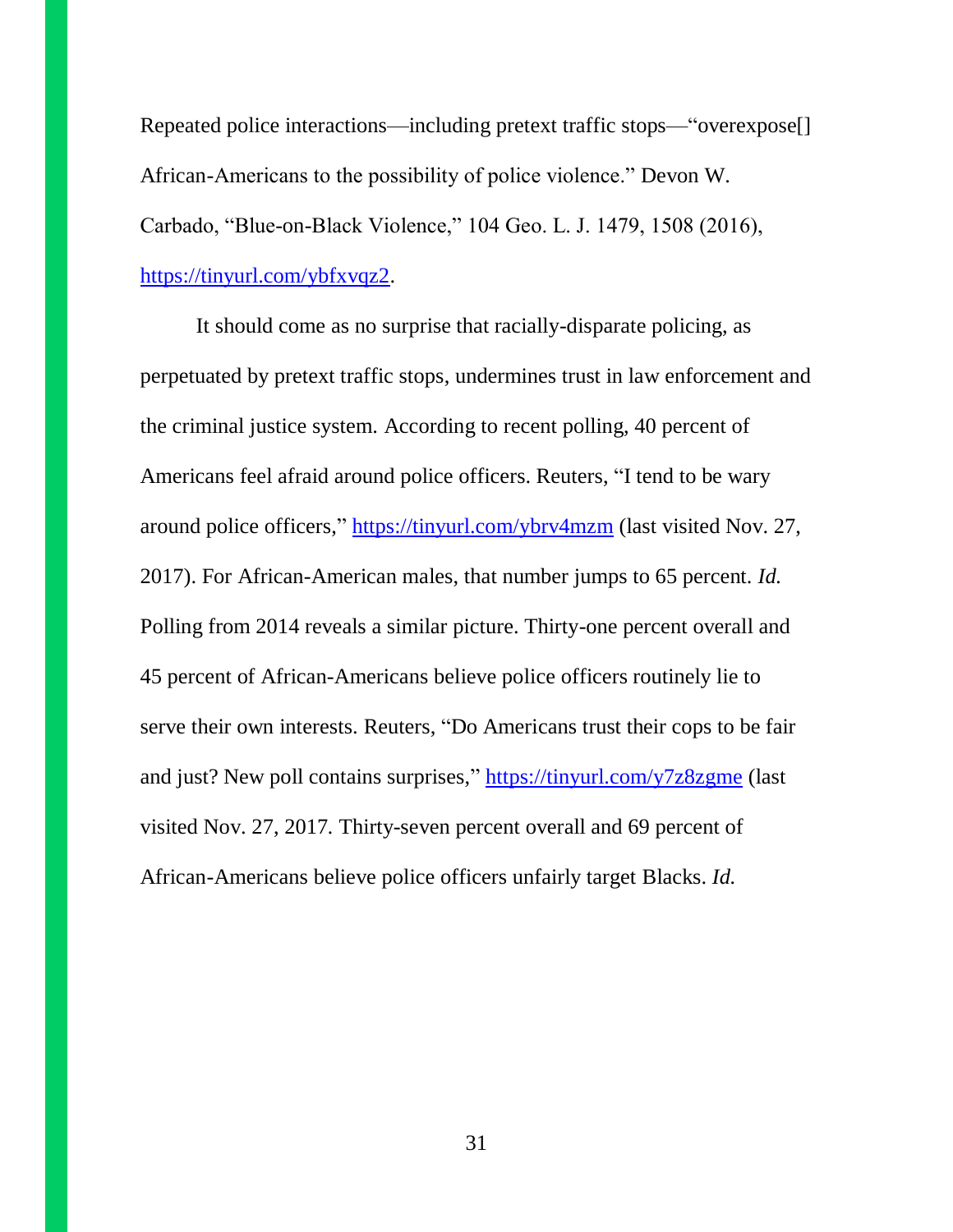Repeated police interactions—including pretext traffic stops—"overexpose[] African-Americans to the possibility of police violence." Devon W. Carbado, "Blue-on-Black Violence," 104 Geo. L. J. 1479, 1508 (2016), [https://tinyurl.com/ybfxvqz2.](https://tinyurl.com/ybfxvqz2)

It should come as no surprise that racially-disparate policing, as perpetuated by pretext traffic stops, undermines trust in law enforcement and the criminal justice system. According to recent polling, 40 percent of Americans feel afraid around police officers. Reuters, "I tend to be wary around police officers," <https://tinyurl.com/ybrv4mzm> (last visited Nov. 27, 2017). For African-American males, that number jumps to 65 percent. *Id.* Polling from 2014 reveals a similar picture. Thirty-one percent overall and 45 percent of African-Americans believe police officers routinely lie to serve their own interests. Reuters, "Do Americans trust their cops to be fair and just? New poll contains surprises," <https://tinyurl.com/y7z8zgme> (last visited Nov. 27, 2017*.* Thirty-seven percent overall and 69 percent of African-Americans believe police officers unfairly target Blacks. *Id.*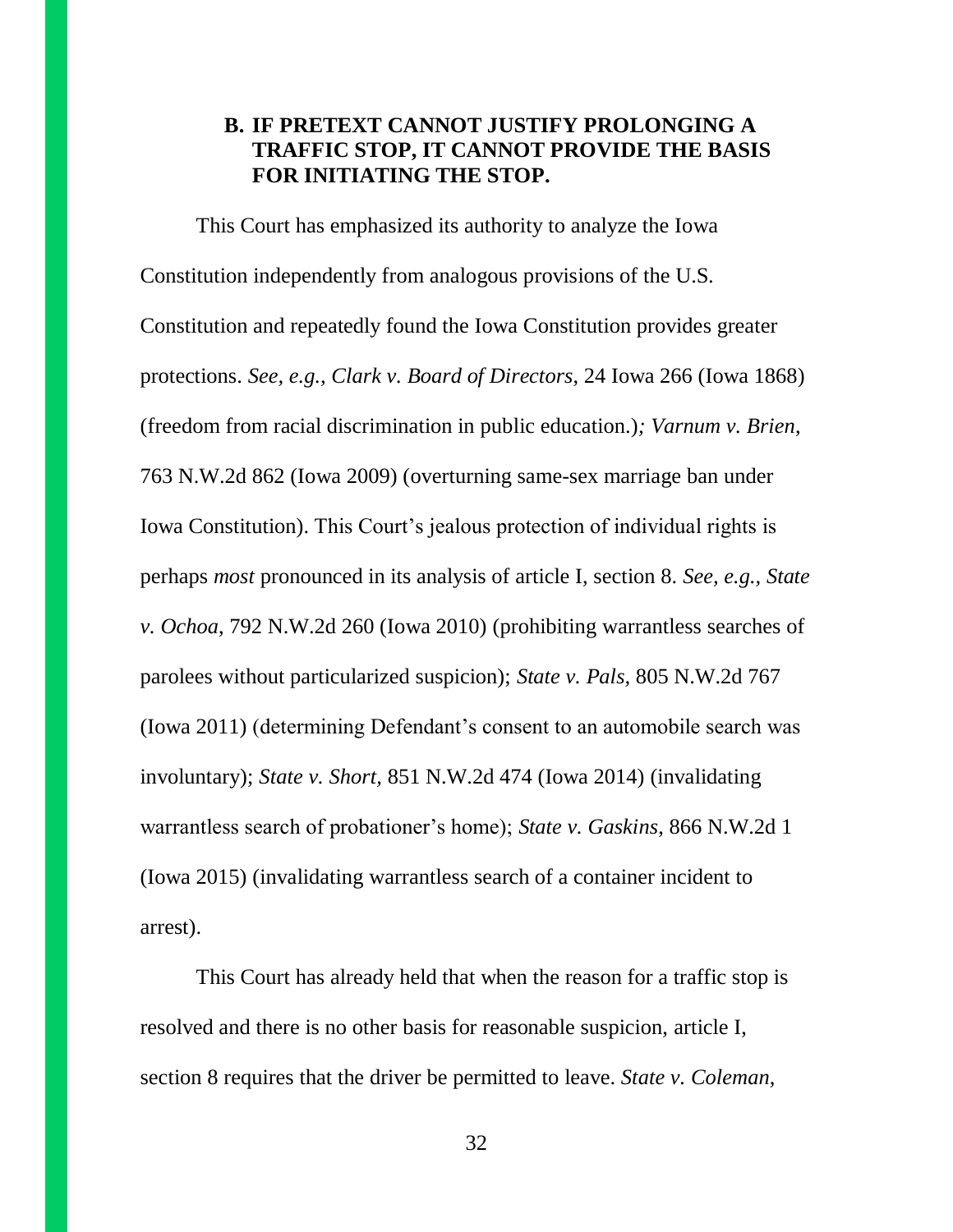## **B. IF PRETEXT CANNOT JUSTIFY PROLONGING A TRAFFIC STOP, IT CANNOT PROVIDE THE BASIS FOR INITIATING THE STOP.**

This Court has emphasized its authority to analyze the Iowa Constitution independently from analogous provisions of the U.S. Constitution and repeatedly found the Iowa Constitution provides greater protections. *See, e.g., Clark v. Board of Directors*, 24 Iowa 266 (Iowa 1868) (freedom from racial discrimination in public education.)*; Varnum v. Brien*, 763 N.W.2d 862 (Iowa 2009) (overturning same-sex marriage ban under Iowa Constitution). This Court's jealous protection of individual rights is perhaps *most* pronounced in its analysis of article I, section 8. *See, e.g., State v. Ochoa*, 792 N.W.2d 260 (Iowa 2010) (prohibiting warrantless searches of parolees without particularized suspicion); *State v. Pals,* 805 N.W.2d 767 (Iowa 2011) (determining Defendant's consent to an automobile search was involuntary); *State v. Short,* 851 N.W.2d 474 (Iowa 2014) (invalidating warrantless search of probationer's home); *State v. Gaskins*, 866 N.W.2d 1 (Iowa 2015) (invalidating warrantless search of a container incident to arrest).

This Court has already held that when the reason for a traffic stop is resolved and there is no other basis for reasonable suspicion, article I, section 8 requires that the driver be permitted to leave. *State v. Coleman*,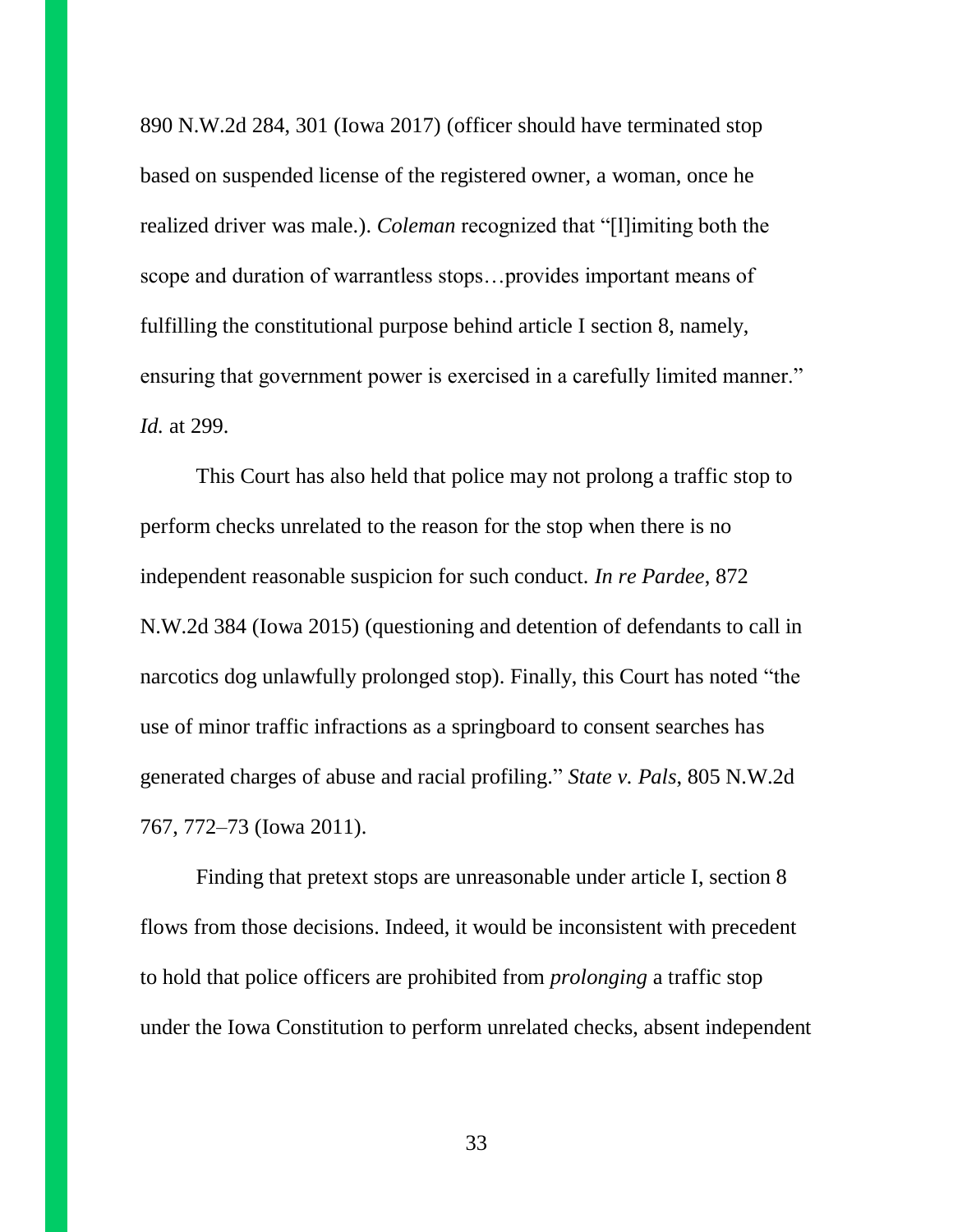890 N.W.2d 284, 301 (Iowa 2017) (officer should have terminated stop based on suspended license of the registered owner, a woman, once he realized driver was male.). *Coleman* recognized that "[l]imiting both the scope and duration of warrantless stops…provides important means of fulfilling the constitutional purpose behind article I section 8, namely, ensuring that government power is exercised in a carefully limited manner." *Id.* at 299.

This Court has also held that police may not prolong a traffic stop to perform checks unrelated to the reason for the stop when there is no independent reasonable suspicion for such conduct. *In re Pardee*, 872 N.W.2d 384 (Iowa 2015) (questioning and detention of defendants to call in narcotics dog unlawfully prolonged stop). Finally, this Court has noted "the use of minor traffic infractions as a springboard to consent searches has generated charges of abuse and racial profiling." *State v. Pals*, 805 N.W.2d 767, 772–73 (Iowa 2011).

Finding that pretext stops are unreasonable under article I, section 8 flows from those decisions. Indeed, it would be inconsistent with precedent to hold that police officers are prohibited from *prolonging* a traffic stop under the Iowa Constitution to perform unrelated checks, absent independent

33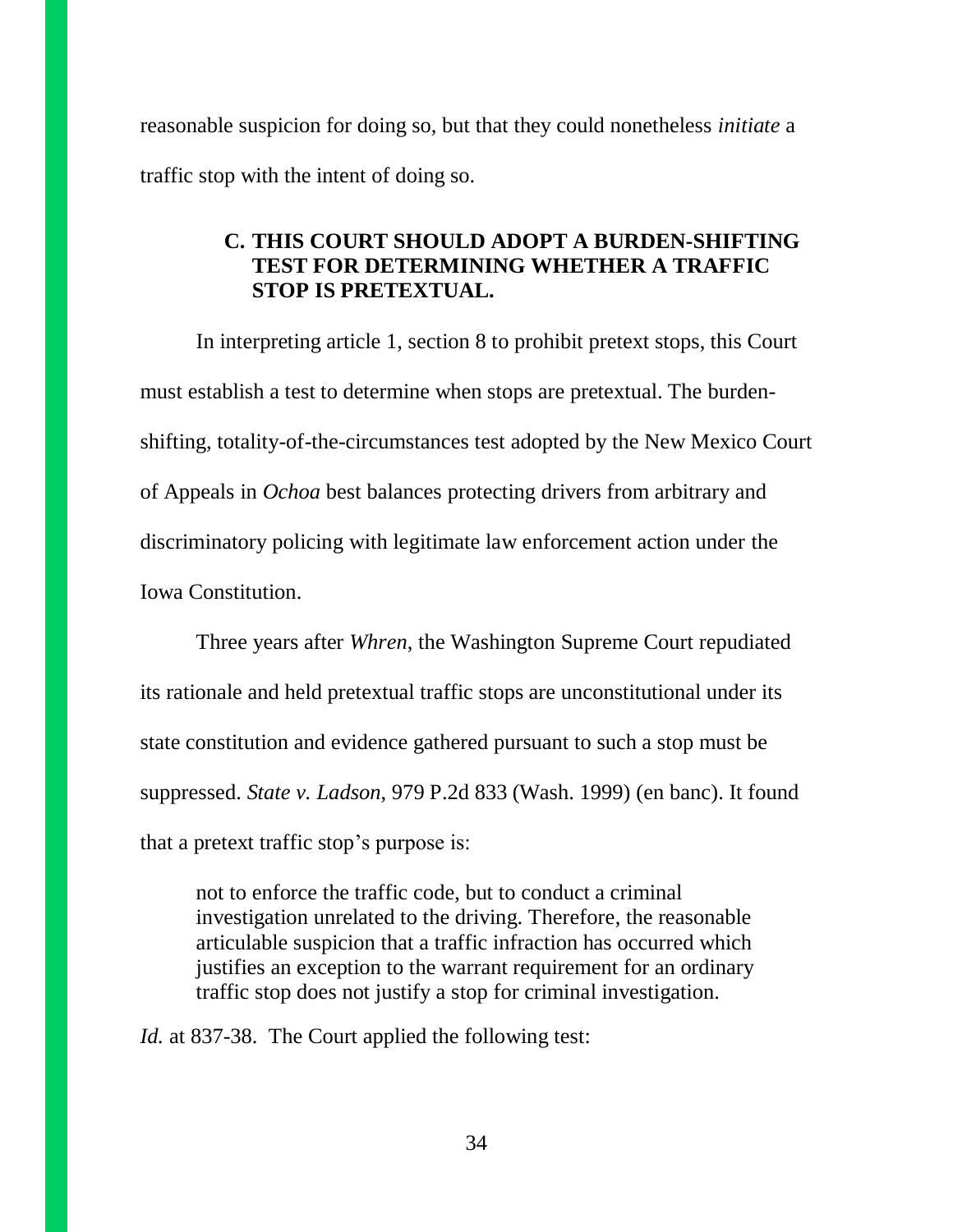reasonable suspicion for doing so, but that they could nonetheless *initiate* a traffic stop with the intent of doing so.

## **C. THIS COURT SHOULD ADOPT A BURDEN-SHIFTING TEST FOR DETERMINING WHETHER A TRAFFIC STOP IS PRETEXTUAL.**

In interpreting article 1, section 8 to prohibit pretext stops, this Court must establish a test to determine when stops are pretextual. The burdenshifting, totality-of-the-circumstances test adopted by the New Mexico Court of Appeals in *Ochoa* best balances protecting drivers from arbitrary and discriminatory policing with legitimate law enforcement action under the Iowa Constitution.

Three years after *Whren*, the Washington Supreme Court repudiated its rationale and held pretextual traffic stops are unconstitutional under its state constitution and evidence gathered pursuant to such a stop must be suppressed. *State v. Ladson*, 979 P.2d 833 (Wash. 1999) (en banc). It found that a pretext traffic stop's purpose is:

not to enforce the traffic code, but to conduct a criminal investigation unrelated to the driving. Therefore, the reasonable articulable suspicion that a traffic infraction has occurred which justifies an exception to the warrant requirement for an ordinary traffic stop does not justify a stop for criminal investigation.

*Id.* at 837-38. The Court applied the following test: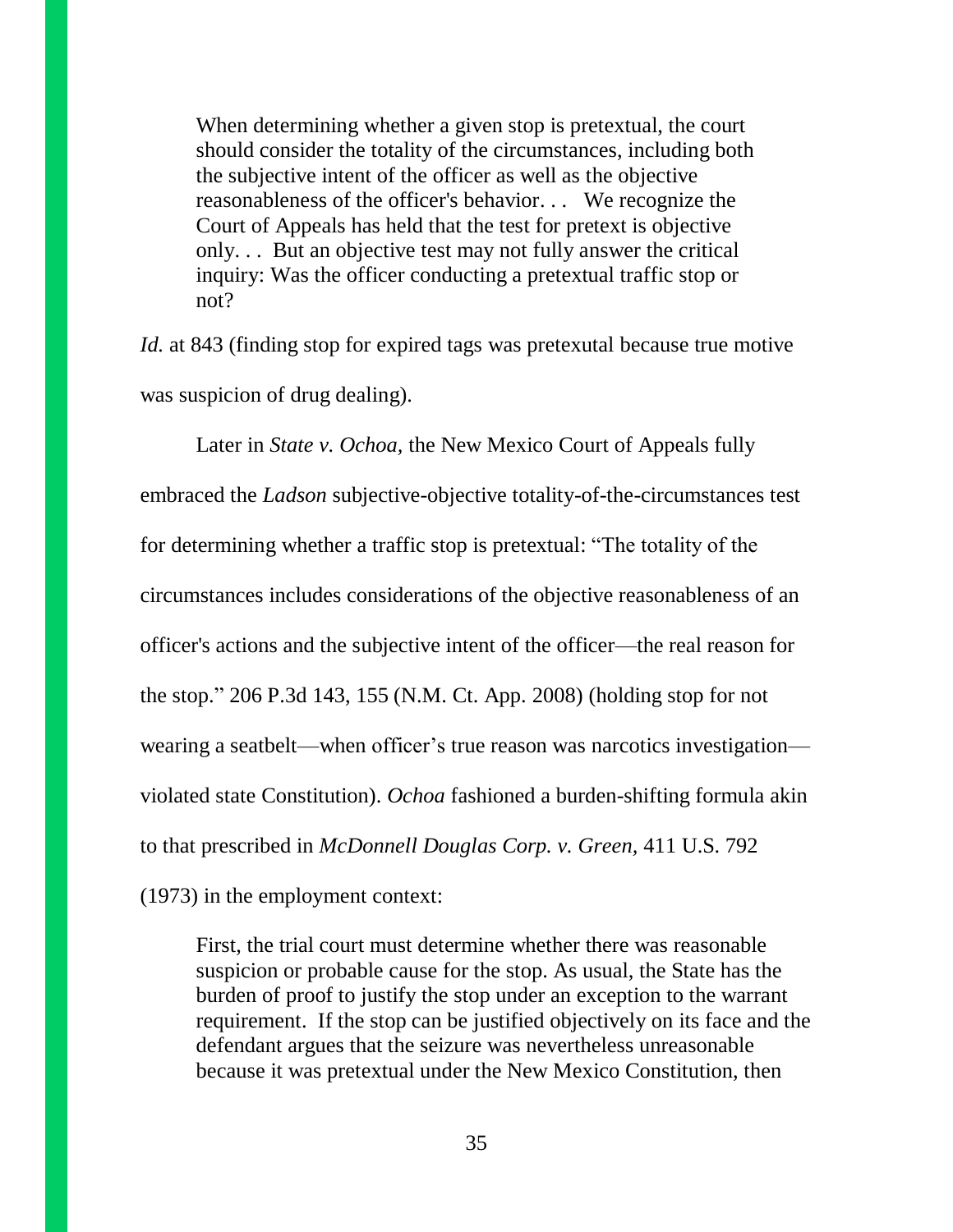When determining whether a given stop is pretextual, the court should consider the totality of the circumstances, including both the subjective intent of the officer as well as the objective reasonableness of the officer's behavior. . . We recognize the Court of Appeals has held that the test for pretext is objective only. . . But an objective test may not fully answer the critical inquiry: Was the officer conducting a pretextual traffic stop or not?

*Id.* at 843 (finding stop for expired tags was pretexutal because true motive was suspicion of drug dealing).

Later in *State v. Ochoa,* the New Mexico Court of Appeals fully embraced the *Ladson* subjective-objective totality-of-the-circumstances test for determining whether a traffic stop is pretextual: "The totality of the circumstances includes considerations of the objective reasonableness of an officer's actions and the subjective intent of the officer—the real reason for the stop." 206 P.3d 143, 155 (N.M. Ct. App. 2008) (holding stop for not wearing a seatbelt—when officer's true reason was narcotics investigation violated state Constitution). *Ochoa* fashioned a burden-shifting formula akin to that prescribed in *McDonnell Douglas Corp. v. Green,* 411 U.S. 792 (1973) in the employment context:

First, the trial court must determine whether there was reasonable suspicion or probable cause for the stop. As usual, the State has the burden of proof to justify the stop under an exception to the warrant requirement. If the stop can be justified objectively on its face and the defendant argues that the seizure was nevertheless unreasonable because it was pretextual under the New Mexico Constitution, then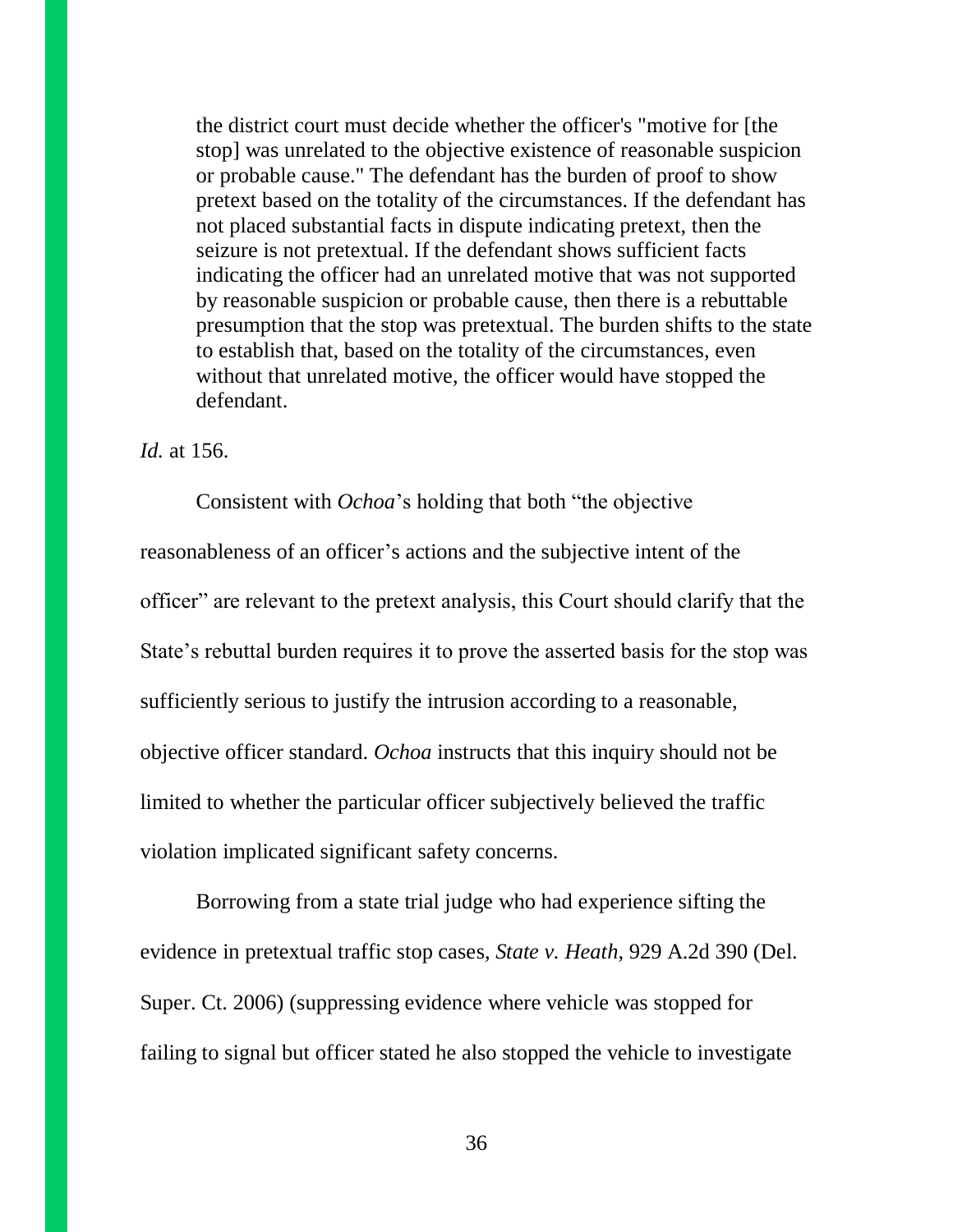the district court must decide whether the officer's "motive for [the stop] was unrelated to the objective existence of reasonable suspicion or probable cause." The defendant has the burden of proof to show pretext based on the totality of the circumstances. If the defendant has not placed substantial facts in dispute indicating pretext, then the seizure is not pretextual. If the defendant shows sufficient facts indicating the officer had an unrelated motive that was not supported by reasonable suspicion or probable cause, then there is a rebuttable presumption that the stop was pretextual. The burden shifts to the state to establish that, based on the totality of the circumstances, even without that unrelated motive, the officer would have stopped the defendant.

#### *Id.* at 156.

Consistent with *Ochoa*'s holding that both "the objective reasonableness of an officer's actions and the subjective intent of the officer" are relevant to the pretext analysis, this Court should clarify that the State's rebuttal burden requires it to prove the asserted basis for the stop was sufficiently serious to justify the intrusion according to a reasonable, objective officer standard. *Ochoa* instructs that this inquiry should not be limited to whether the particular officer subjectively believed the traffic violation implicated significant safety concerns.

Borrowing from a state trial judge who had experience sifting the evidence in pretextual traffic stop cases, *State v. Heath*, 929 A.2d 390 (Del. Super. Ct. 2006) (suppressing evidence where vehicle was stopped for failing to signal but officer stated he also stopped the vehicle to investigate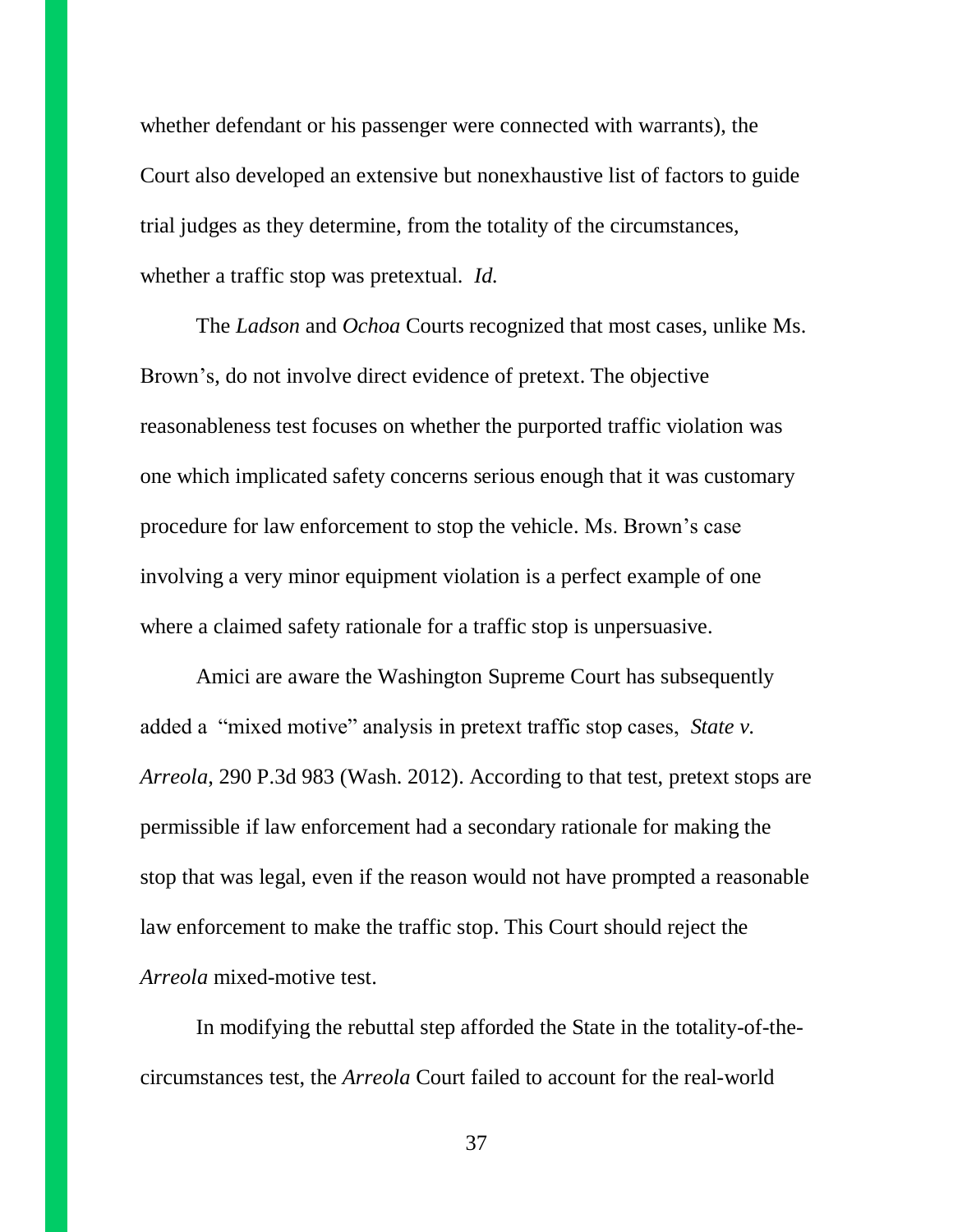whether defendant or his passenger were connected with warrants), the Court also developed an extensive but nonexhaustive list of factors to guide trial judges as they determine, from the totality of the circumstances, whether a traffic stop was pretextual. *Id.*

The *Ladson* and *Ochoa* Courts recognized that most cases, unlike Ms. Brown's, do not involve direct evidence of pretext. The objective reasonableness test focuses on whether the purported traffic violation was one which implicated safety concerns serious enough that it was customary procedure for law enforcement to stop the vehicle. Ms. Brown's case involving a very minor equipment violation is a perfect example of one where a claimed safety rationale for a traffic stop is unpersuasive.

Amici are aware the Washington Supreme Court has subsequently added a "mixed motive" analysis in pretext traffic stop cases, *State v. Arreola*, 290 P.3d 983 (Wash. 2012). According to that test, pretext stops are permissible if law enforcement had a secondary rationale for making the stop that was legal, even if the reason would not have prompted a reasonable law enforcement to make the traffic stop. This Court should reject the *Arreola* mixed-motive test.

In modifying the rebuttal step afforded the State in the totality-of-thecircumstances test, the *Arreola* Court failed to account for the real-world

37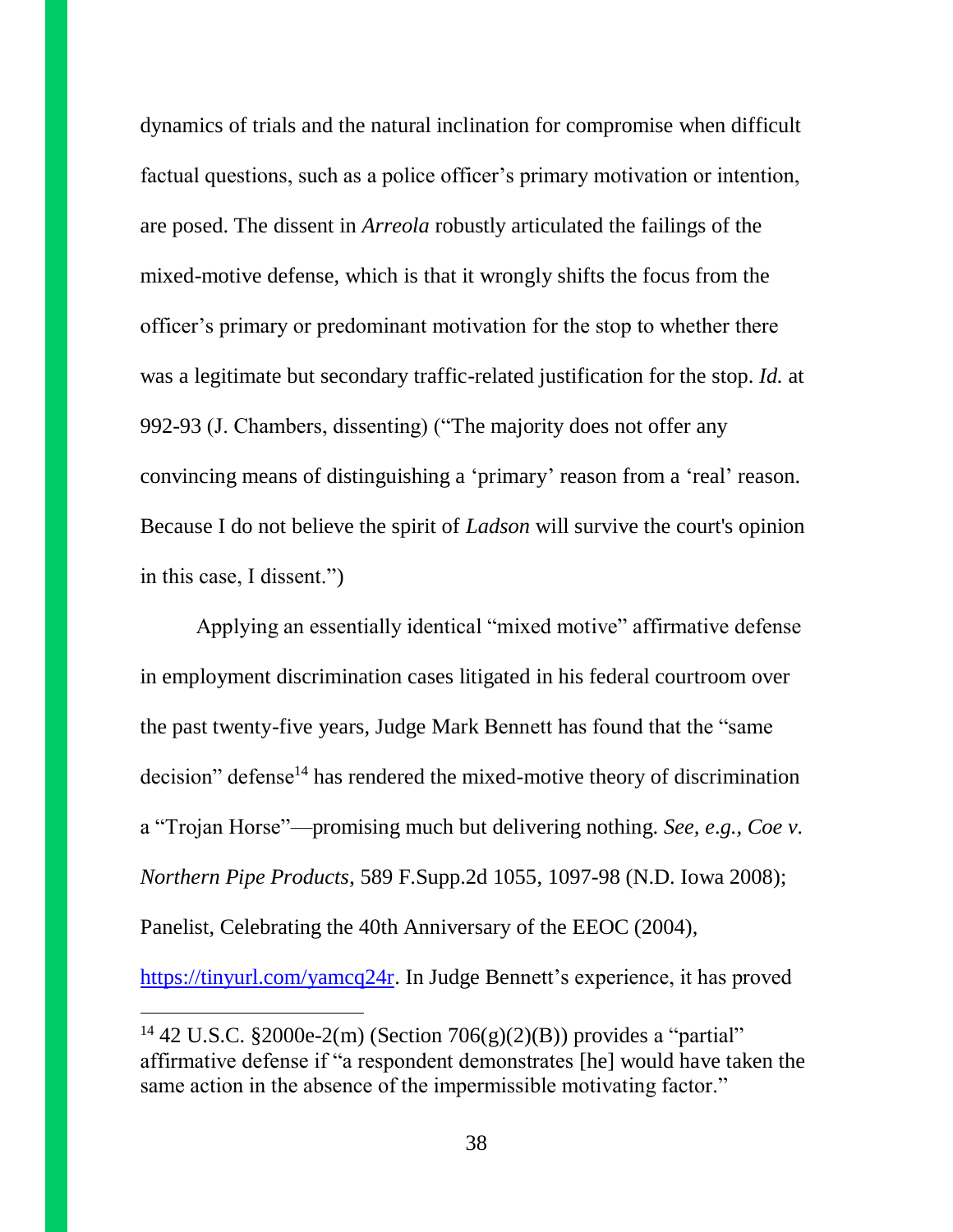dynamics of trials and the natural inclination for compromise when difficult factual questions, such as a police officer's primary motivation or intention, are posed. The dissent in *Arreola* robustly articulated the failings of the mixed-motive defense, which is that it wrongly shifts the focus from the officer's primary or predominant motivation for the stop to whether there was a legitimate but secondary traffic-related justification for the stop. *Id.* at 992-93 (J. Chambers, dissenting) ("The majority does not offer any convincing means of distinguishing a 'primary' reason from a 'real' reason. Because I do not believe the spirit of *Ladson* will survive the court's opinion in this case, I dissent.")

Applying an essentially identical "mixed motive" affirmative defense in employment discrimination cases litigated in his federal courtroom over the past twenty-five years, Judge Mark Bennett has found that the "same decision" defense<sup>14</sup> has rendered the mixed-motive theory of discrimination a "Trojan Horse"—promising much but delivering nothing. *See, e*.*g., Coe v. Northern Pipe Products*, 589 F.Supp.2d 1055, 1097-98 (N.D. Iowa 2008); Panelist, Celebrating the 40th Anniversary of the EEOC (2004),

[https://tinyurl.com/yamcq24r.](https://tinyurl.com/yamcq24r) In Judge Bennett's experience, it has proved

 $\overline{a}$ 

<sup>&</sup>lt;sup>14</sup> 42 U.S.C. §2000e-2(m) (Section 706(g)(2)(B)) provides a "partial" affirmative defense if "a respondent demonstrates [he] would have taken the same action in the absence of the impermissible motivating factor."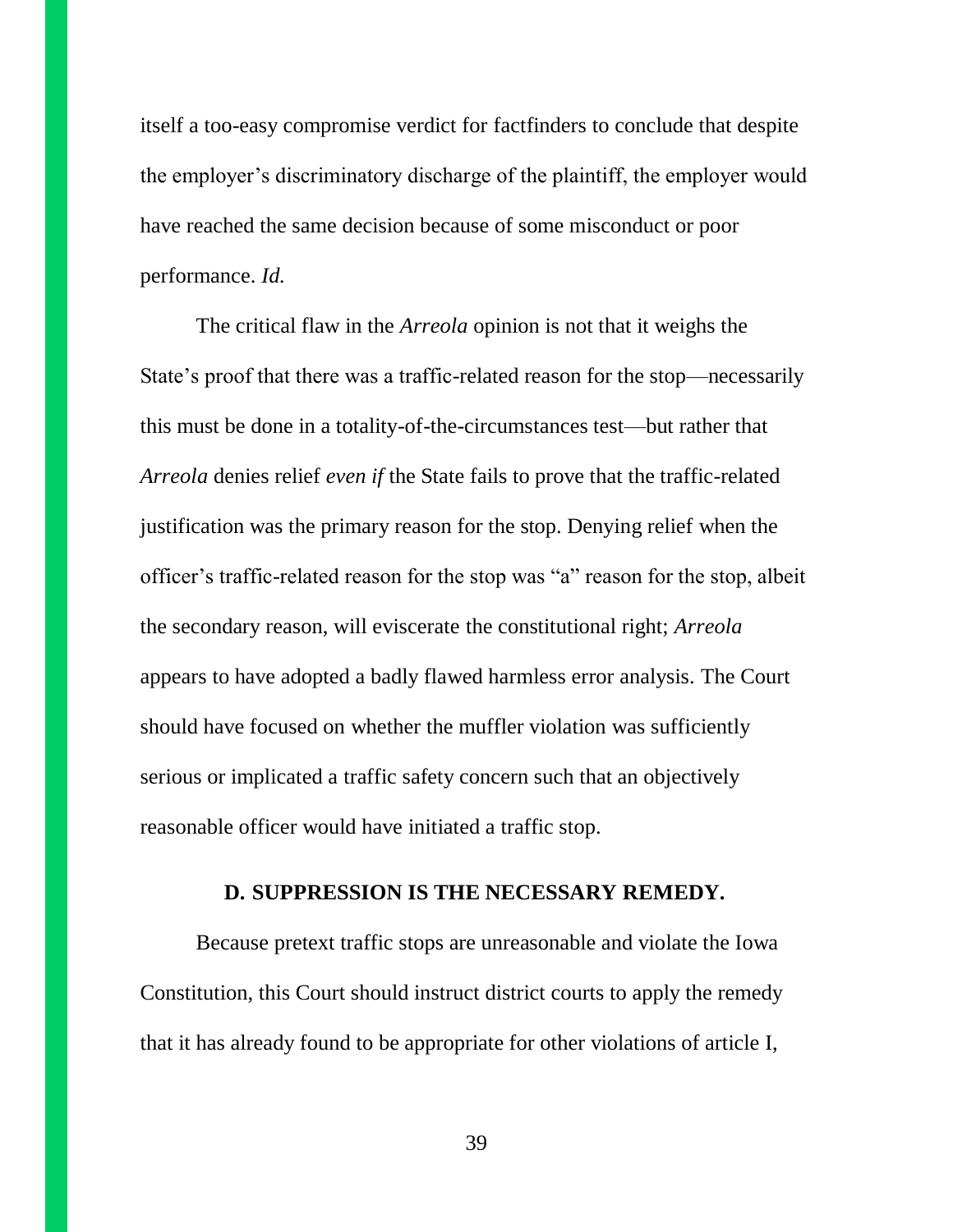itself a too-easy compromise verdict for factfinders to conclude that despite the employer's discriminatory discharge of the plaintiff, the employer would have reached the same decision because of some misconduct or poor performance. *Id.*

The critical flaw in the *Arreola* opinion is not that it weighs the State's proof that there was a traffic-related reason for the stop—necessarily this must be done in a totality-of-the-circumstances test—but rather that *Arreola* denies relief *even if* the State fails to prove that the traffic-related justification was the primary reason for the stop. Denying relief when the officer's traffic-related reason for the stop was "a" reason for the stop, albeit the secondary reason, will eviscerate the constitutional right; *Arreola* appears to have adopted a badly flawed harmless error analysis. The Court should have focused on whether the muffler violation was sufficiently serious or implicated a traffic safety concern such that an objectively reasonable officer would have initiated a traffic stop.

#### **D. SUPPRESSION IS THE NECESSARY REMEDY.**

Because pretext traffic stops are unreasonable and violate the Iowa Constitution, this Court should instruct district courts to apply the remedy that it has already found to be appropriate for other violations of article I,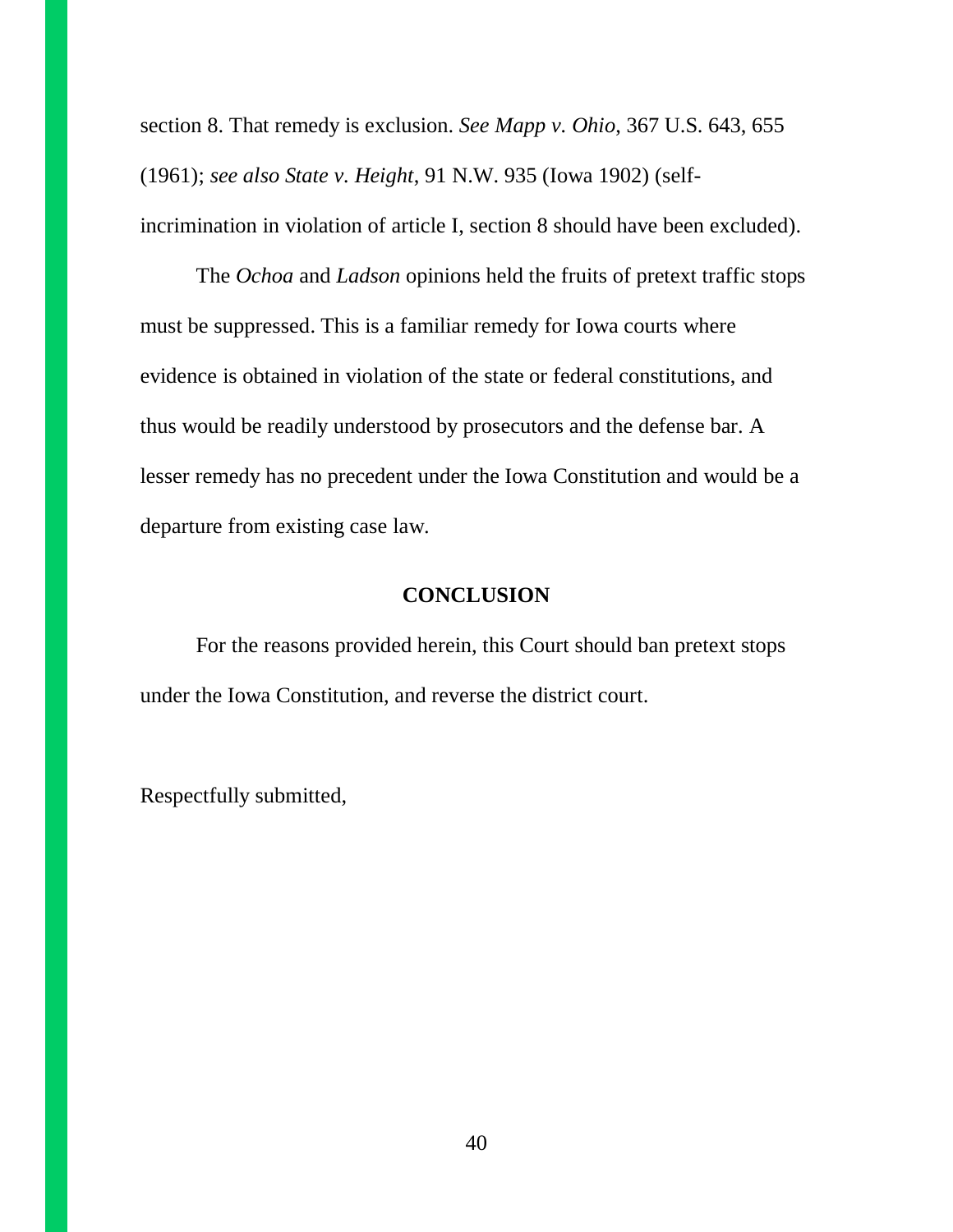section 8. That remedy is exclusion. *See Mapp v. Ohio*, 367 U.S. 643, 655 (1961); *see also State v. Height*, 91 N.W. 935 (Iowa 1902) (selfincrimination in violation of article I, section 8 should have been excluded).

The *Ochoa* and *Ladson* opinions held the fruits of pretext traffic stops must be suppressed. This is a familiar remedy for Iowa courts where evidence is obtained in violation of the state or federal constitutions, and thus would be readily understood by prosecutors and the defense bar. A lesser remedy has no precedent under the Iowa Constitution and would be a departure from existing case law.

#### **CONCLUSION**

For the reasons provided herein, this Court should ban pretext stops under the Iowa Constitution, and reverse the district court.

Respectfully submitted,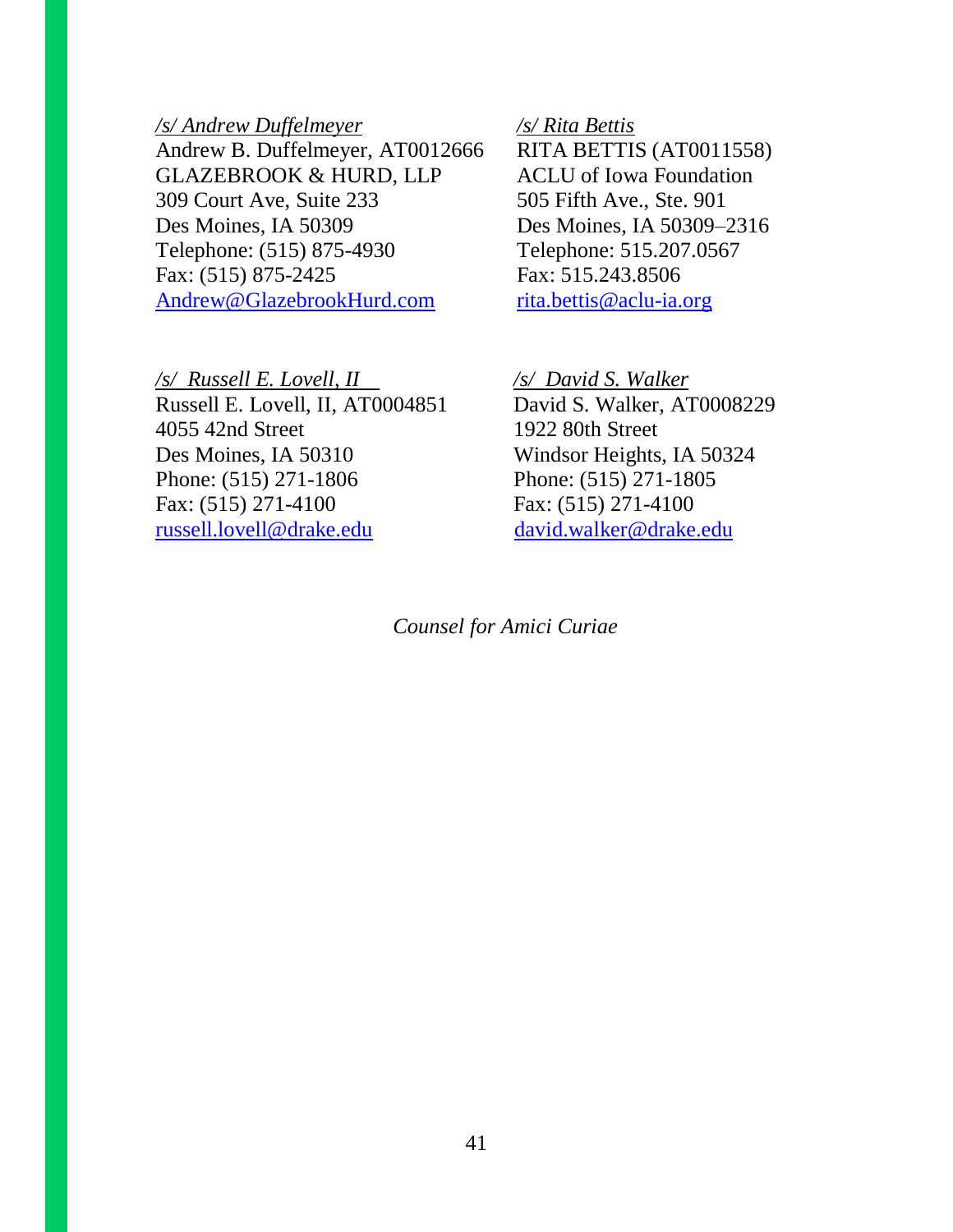#### */s/ Andrew Duffelmeyer*

Andrew B. Duffelmeyer, AT0012666 GLAZEBROOK & HURD, LLP 309 Court Ave, Suite 233 Des Moines, IA 50309 Telephone: (515) 875-4930 Fax: (515) 875-2425 [Andrew@GlazebrookHurd.com](mailto:Andrew@GlazebrookHurd.com)

*/s/ Russell E. Lovell, II /s/ David S. Walker* Russell E. Lovell, II, AT0004851 David S. Walker, AT0008229 4055 42nd Street 1922 80th Street Des Moines, IA 50310 Windsor Heights, IA 50324 Phone: (515) 271-1806 Phone: (515) 271-1805 Fax: (515) 271-4100 Fax: (515) 271-4100 [russell.lovell@drake.edu](mailto:russell.lovell@drake.edu) [david.walker@drake.edu](mailto:david.walker@drake.edu)

#### */s/ Rita Bettis*

RITA BETTIS (AT0011558) ACLU of Iowa Foundation 505 Fifth Ave., Ste. 901 Des Moines, IA 50309–2316 Telephone: 515.207.0567 Fax: 515.243.8506 [rita.bettis@aclu-ia.org](mailto:rita.bettis@aclu-ia.org)

*Counsel for Amici Curiae*